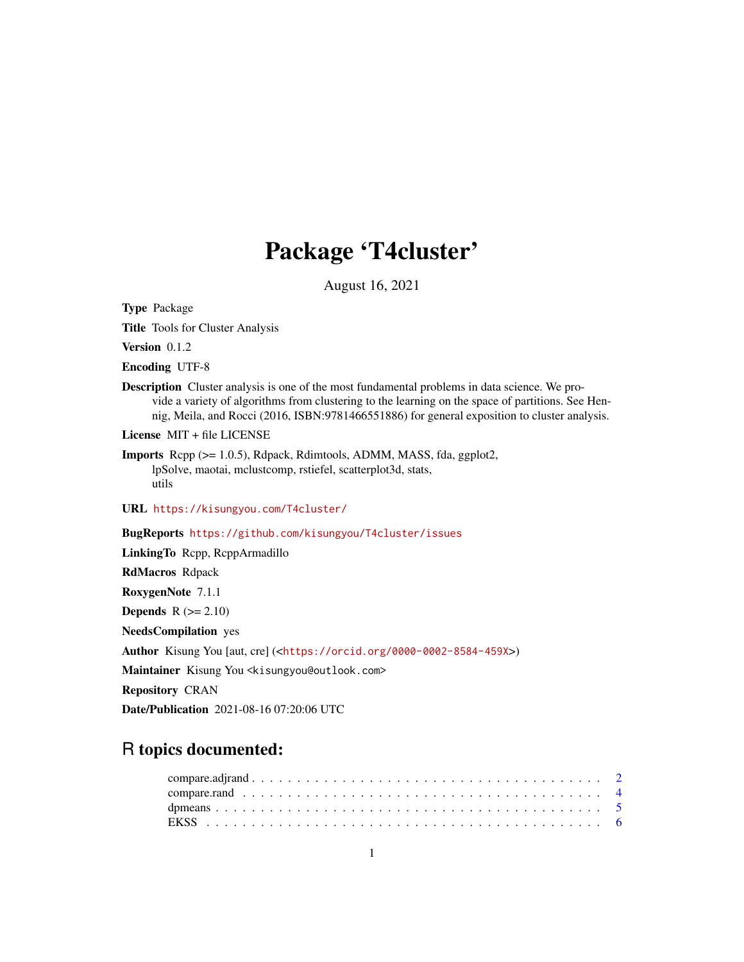# Package 'T4cluster'

August 16, 2021

<span id="page-0-0"></span>Type Package

Title Tools for Cluster Analysis

Version 0.1.2

Encoding UTF-8

Description Cluster analysis is one of the most fundamental problems in data science. We provide a variety of algorithms from clustering to the learning on the space of partitions. See Hennig, Meila, and Rocci (2016, ISBN:9781466551886) for general exposition to cluster analysis.

License MIT + file LICENSE

URL <https://kisungyou.com/T4cluster/>

BugReports <https://github.com/kisungyou/T4cluster/issues>

LinkingTo Rcpp, RcppArmadillo RdMacros Rdpack RoxygenNote 7.1.1 **Depends**  $R$  ( $>= 2.10$ ) NeedsCompilation yes Author Kisung You [aut, cre] (<<https://orcid.org/0000-0002-8584-459X>>) Maintainer Kisung You <kisungyou@outlook.com> Repository CRAN

Date/Publication 2021-08-16 07:20:06 UTC

# R topics documented:

Imports Rcpp (>= 1.0.5), Rdpack, Rdimtools, ADMM, MASS, fda, ggplot2, lpSolve, maotai, mclustcomp, rstiefel, scatterplot3d, stats, utils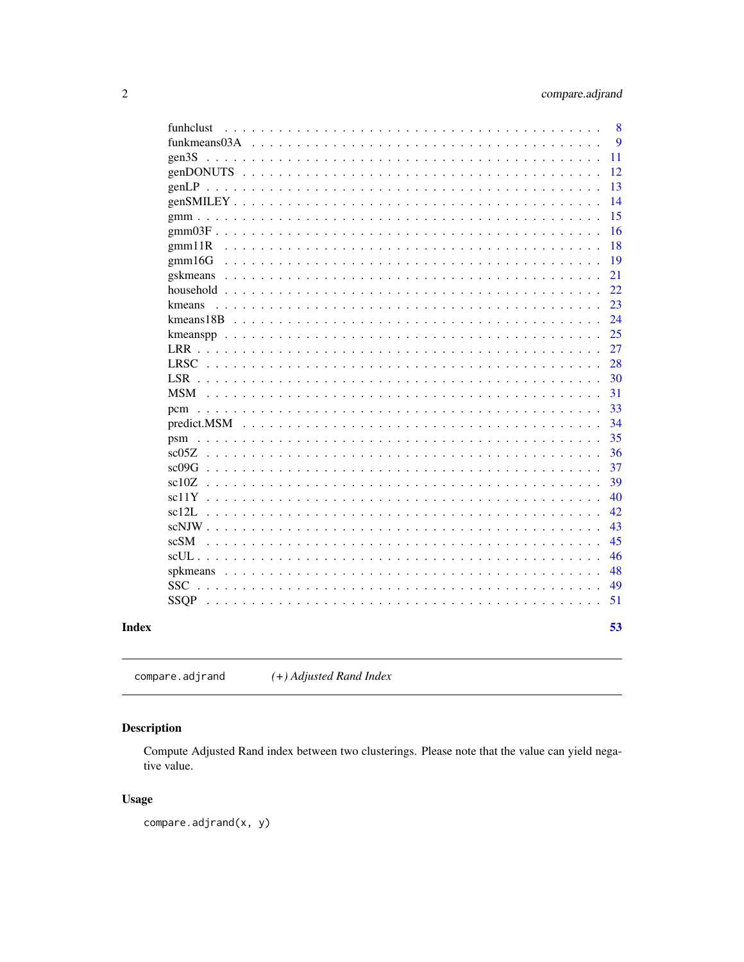<span id="page-1-0"></span>

| funhclust                                                                                                                                                                                      | 8  |
|------------------------------------------------------------------------------------------------------------------------------------------------------------------------------------------------|----|
| funkmeans03A                                                                                                                                                                                   | 9  |
| gen3S<br>$\ddot{\phantom{a}}$                                                                                                                                                                  | 11 |
| genDONUTS                                                                                                                                                                                      | 12 |
|                                                                                                                                                                                                | 13 |
| $genSMILEY \ldots \ldots$                                                                                                                                                                      | 14 |
|                                                                                                                                                                                                | 15 |
|                                                                                                                                                                                                | 16 |
| gmm11R<br>$\sim$                                                                                                                                                                               | 18 |
| $\text{gmm}16G$<br>$\mathbf{1}$ $\mathbf{1}$ $\mathbf{1}$ $\mathbf{1}$                                                                                                                         | 19 |
| gskmeans<br>$\sim$ $\sim$                                                                                                                                                                      | 21 |
| household<br>$\ddot{\phantom{0}}$<br>.                                                                                                                                                         | 22 |
| kmeans<br>$\mathbf{L}$<br>$\ddot{\phantom{0}}$<br>$\mathbf{r}$<br>$\ddot{\phantom{a}}$<br>$\sim$<br>$\mathbf{L}$                                                                               | 23 |
| $k$ means 18 $B$<br>$\mathbf{r}$<br>$\mathbf{r}$<br>$\ddot{\phantom{0}}$                                                                                                                       | 24 |
|                                                                                                                                                                                                | 25 |
| LRR.                                                                                                                                                                                           | 27 |
| <b>LRSC</b>                                                                                                                                                                                    | 28 |
|                                                                                                                                                                                                | 30 |
| $\mathbf{r}$ , $\mathbf{r}$ , $\mathbf{r}$ , $\mathbf{r}$ , $\mathbf{r}$ , $\mathbf{r}$<br>$\sim$ $\sim$                                                                                       | 31 |
|                                                                                                                                                                                                | 33 |
| predict.MSM<br>$\ddot{\phantom{a}}$<br>$\ddot{\phantom{a}}$<br>$\ddot{\phantom{a}}$<br>$\ddot{\phantom{a}}$                                                                                    | 34 |
| psm<br>$\sim$<br>$\ddot{\phantom{a}}$<br>$\mathbf{r}$                                                                                                                                          | 35 |
| sc05Z                                                                                                                                                                                          | 36 |
| sc09G                                                                                                                                                                                          | 37 |
| sc10Z<br>$\sim 100$                                                                                                                                                                            | 39 |
| $sc11Y$<br>$\mathbf{1}$ $\mathbf{1}$ $\mathbf{1}$ $\mathbf{1}$                                                                                                                                 | 40 |
| sc12L<br>$\mathbf{r}$ , $\mathbf{r}$ , $\mathbf{r}$ , $\mathbf{r}$ , $\mathbf{r}$<br>$\mathbf{L}$<br>$\mathbf{r}$<br>$\sim$<br>$\mathbf{r}$<br>$\cdot$<br>$\mathbf{r}$<br>$\ddot{\phantom{a}}$ | 42 |
| $scNJW$<br>$\ddot{\phantom{0}}$<br>$\ddot{\phantom{0}}$<br>$\ddot{\phantom{a}}$<br>$\ddot{\phantom{a}}$<br>$\ddot{\phantom{a}}$<br>$\cdot$<br>$\cdot$                                          | 43 |
| scSM<br>$\sim$<br>$\sim$                                                                                                                                                                       | 45 |
|                                                                                                                                                                                                | 46 |
|                                                                                                                                                                                                | 48 |
|                                                                                                                                                                                                | 49 |
| and and                                                                                                                                                                                        | 51 |
|                                                                                                                                                                                                |    |
|                                                                                                                                                                                                | 53 |

# **Index**

compare.adjrand  $(+)$  Adjusted Rand Index

# **Description**

Compute Adjusted Rand index between two clusterings. Please note that the value can yield negative value.

# **Usage**

 $compare.add( x, y)$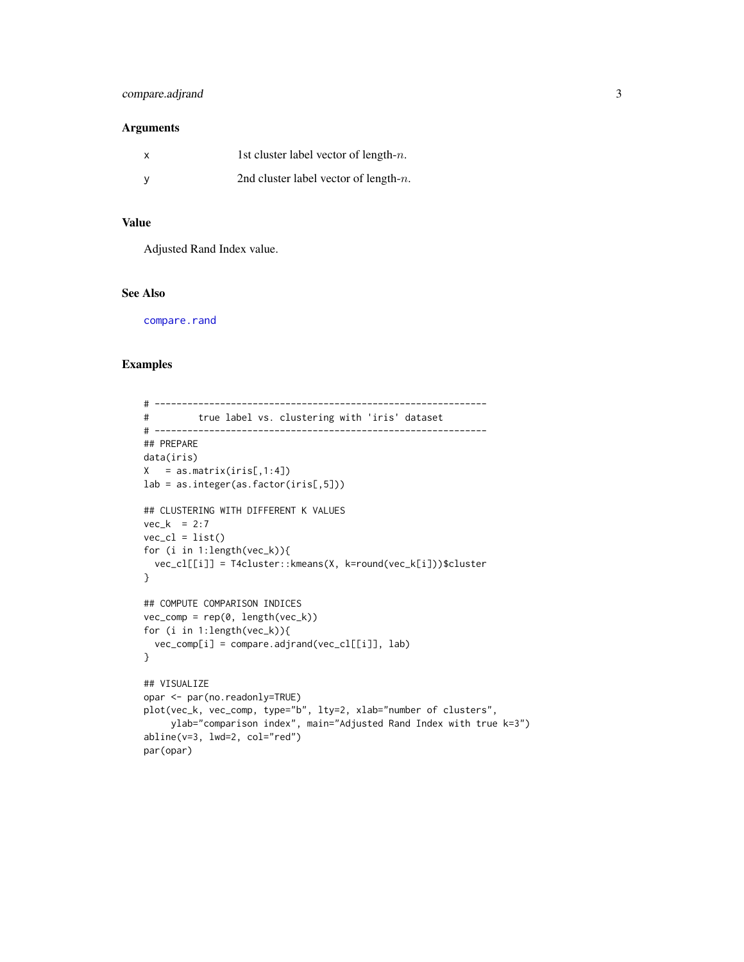# <span id="page-2-0"></span>compare.adjrand 3

### Arguments

| X | 1st cluster label vector of length- $n$ . |
|---|-------------------------------------------|
|   | 2nd cluster label vector of length- $n$ . |

# Value

Adjusted Rand Index value.

# See Also

[compare.rand](#page-3-1)

```
# -------------------------------------------------------------
# true label vs. clustering with 'iris' dataset
# -------------------------------------------------------------
## PREPARE
data(iris)
X = as_matrix(iris[,1:4])lab = as.integer(as.factor(iris[,5]))
## CLUSTERING WITH DIFFERENT K VALUES
vec_k = 2:7vec_cl = list()for (i in 1:length(vec_k)){
 vec_cl[[i]] = T4cluster::kmeans(X, k=round(vec_k[i]))$cluster
}
## COMPUTE COMPARISON INDICES
vec_{conv} = rep(0, length(vec_k))for (i in 1:length(vec_k)){
 vec_comp[i] = compare.adjrand(vec_cl[[i]], lab)
}
## VISUALIZE
opar <- par(no.readonly=TRUE)
plot(vec_k, vec_comp, type="b", lty=2, xlab="number of clusters",
     ylab="comparison index", main="Adjusted Rand Index with true k=3")
abline(v=3, lwd=2, col="red")
par(opar)
```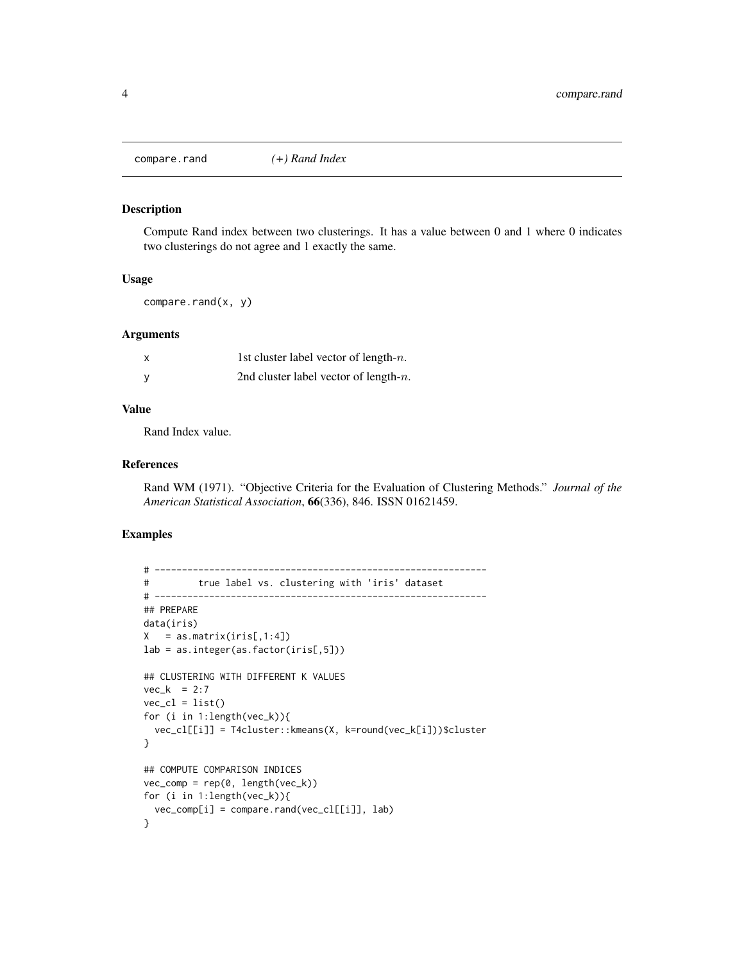<span id="page-3-1"></span><span id="page-3-0"></span>compare.rand *(+) Rand Index*

#### Description

Compute Rand index between two clusterings. It has a value between 0 and 1 where 0 indicates two clusterings do not agree and 1 exactly the same.

# Usage

compare.rand(x, y)

### Arguments

| x | 1st cluster label vector of length- $n$ . |
|---|-------------------------------------------|
| ٧ | 2nd cluster label vector of length- $n$ . |

#### Value

Rand Index value.

#### References

Rand WM (1971). "Objective Criteria for the Evaluation of Clustering Methods." *Journal of the American Statistical Association*, 66(336), 846. ISSN 01621459.

```
# -------------------------------------------------------------
# true label vs. clustering with 'iris' dataset
# -------------------------------------------------------------
## PREPARE
data(iris)
X = as_matrix(iris[,1:4])lab = as.integer(as.factor(iris[,5]))
## CLUSTERING WITH DIFFERENT K VALUES
vec_k = 2:7vec_cl = list()for (i in 1:length(vec_k)){
 vec_cl[[i]] = T4cluster::kmeans(X, k=round(vec_k[i]))$cluster
}
## COMPUTE COMPARISON INDICES
vec_{conv} = rep(0, length(vec_k))for (i in 1:length(vec_k)){
 vec_comp[i] = compare.rand(vec_cl[[i]], lab)
}
```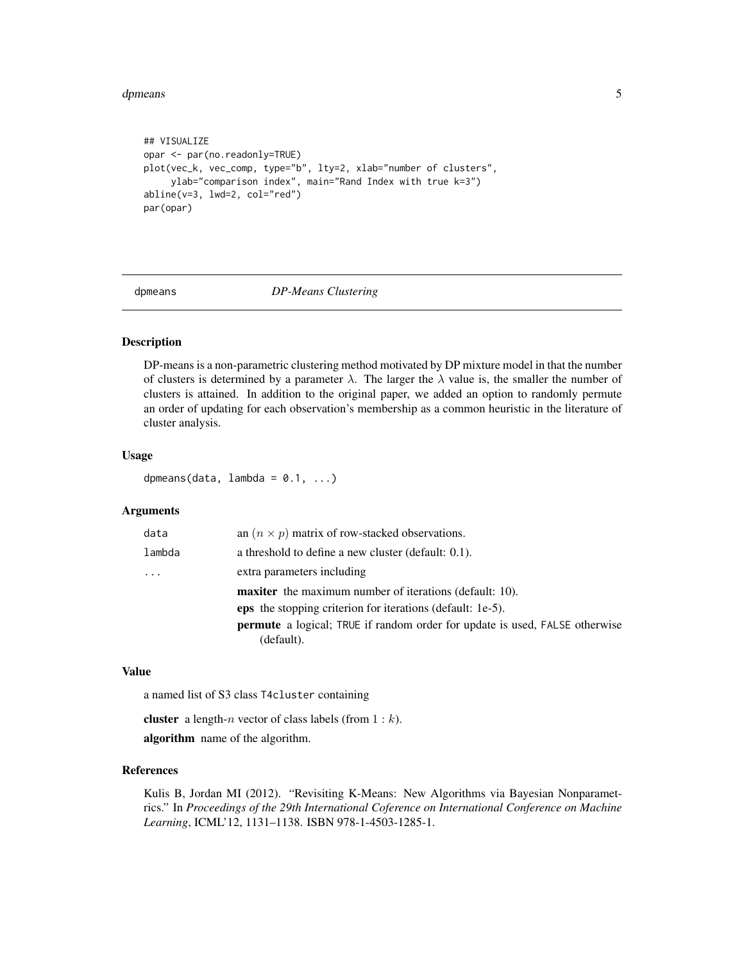#### <span id="page-4-0"></span>dpmeans 5 and 5 and 5 and 5 and 6 and 6 and 6 and 6 and 6 and 6 and 6 and 6 and 6 and 6 and 6 and 6 and 6 and 6 and 6 and 6 and 6 and 6 and 6 and 6 and 6 and 6 and 6 and 6 and 6 and 6 and 6 and 6 and 6 and 6 and 6 and 6 an

```
## VISUALIZE
opar <- par(no.readonly=TRUE)
plot(vec_k, vec_comp, type="b", lty=2, xlab="number of clusters",
     ylab="comparison index", main="Rand Index with true k=3")
abline(v=3, lwd=2, col="red")
par(opar)
```
dpmeans *DP-Means Clustering*

#### Description

DP-means is a non-parametric clustering method motivated by DP mixture model in that the number of clusters is determined by a parameter  $\lambda$ . The larger the  $\lambda$  value is, the smaller the number of clusters is attained. In addition to the original paper, we added an option to randomly permute an order of updating for each observation's membership as a common heuristic in the literature of cluster analysis.

#### Usage

dpmeans(data,  $lambda = 0.1, ...$ )

#### Arguments

| data   | an $(n \times p)$ matrix of row-stacked observations.                                            |
|--------|--------------------------------------------------------------------------------------------------|
| lambda | a threshold to define a new cluster (default: 0.1).                                              |
| .      | extra parameters including                                                                       |
|        | <b>maxiter</b> the maximum number of iterations (default: 10).                                   |
|        | <b>eps</b> the stopping criterion for iterations (default: 1e-5).                                |
|        | <b>permute</b> a logical; TRUE if random order for update is used, FALSE otherwise<br>(default). |
|        |                                                                                                  |

#### Value

a named list of S3 class T4cluster containing

**cluster** a length-*n* vector of class labels (from  $1 : k$ ).

algorithm name of the algorithm.

#### References

Kulis B, Jordan MI (2012). "Revisiting K-Means: New Algorithms via Bayesian Nonparametrics." In *Proceedings of the 29th International Coference on International Conference on Machine Learning*, ICML'12, 1131–1138. ISBN 978-1-4503-1285-1.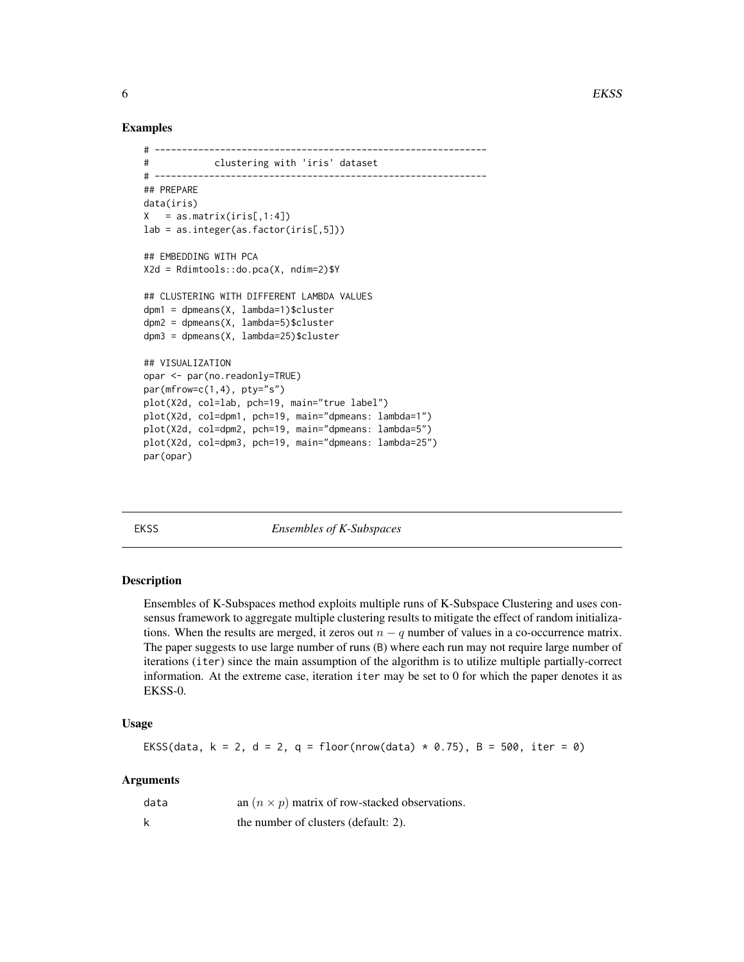#### Examples

```
# -------------------------------------------------------------
# clustering with 'iris' dataset
# -------------------------------------------------------------
## PREPARE
data(iris)
X = as_matrix(iris[, 1:4])lab = as.integer(as.factor(iris[,5]))## EMBEDDING WITH PCA
X2d = Rdimtools::do.pca(X, ndim=2)$Y
## CLUSTERING WITH DIFFERENT LAMBDA VALUES
dpm1 = dpmeans(X, lambda=1)$cluster
dpm2 = dpmeans(X, lambda=5)$cluster
dpm3 = dpmeans(X, lambda=25)$cluster
## VISUALIZATION
opar <- par(no.readonly=TRUE)
par(mfrow=c(1,4), pty="s")plot(X2d, col=lab, pch=19, main="true label")
plot(X2d, col=dpm1, pch=19, main="dpmeans: lambda=1")
plot(X2d, col=dpm2, pch=19, main="dpmeans: lambda=5")
plot(X2d, col=dpm3, pch=19, main="dpmeans: lambda=25")
par(opar)
```
EKSS *Ensembles of K-Subspaces*

# Description

Ensembles of K-Subspaces method exploits multiple runs of K-Subspace Clustering and uses consensus framework to aggregate multiple clustering results to mitigate the effect of random initializations. When the results are merged, it zeros out  $n - q$  number of values in a co-occurrence matrix. The paper suggests to use large number of runs (B) where each run may not require large number of iterations (iter) since the main assumption of the algorithm is to utilize multiple partially-correct information. At the extreme case, iteration iter may be set to 0 for which the paper denotes it as EKSS-0.

### Usage

```
EKSS(data, k = 2, d = 2, q = floor(nrow(data) * 0.75), B = 500, iter = 0)
```
#### Arguments

| data | an $(n \times p)$ matrix of row-stacked observations. |
|------|-------------------------------------------------------|
|      | the number of clusters (default: 2).                  |

<span id="page-5-0"></span>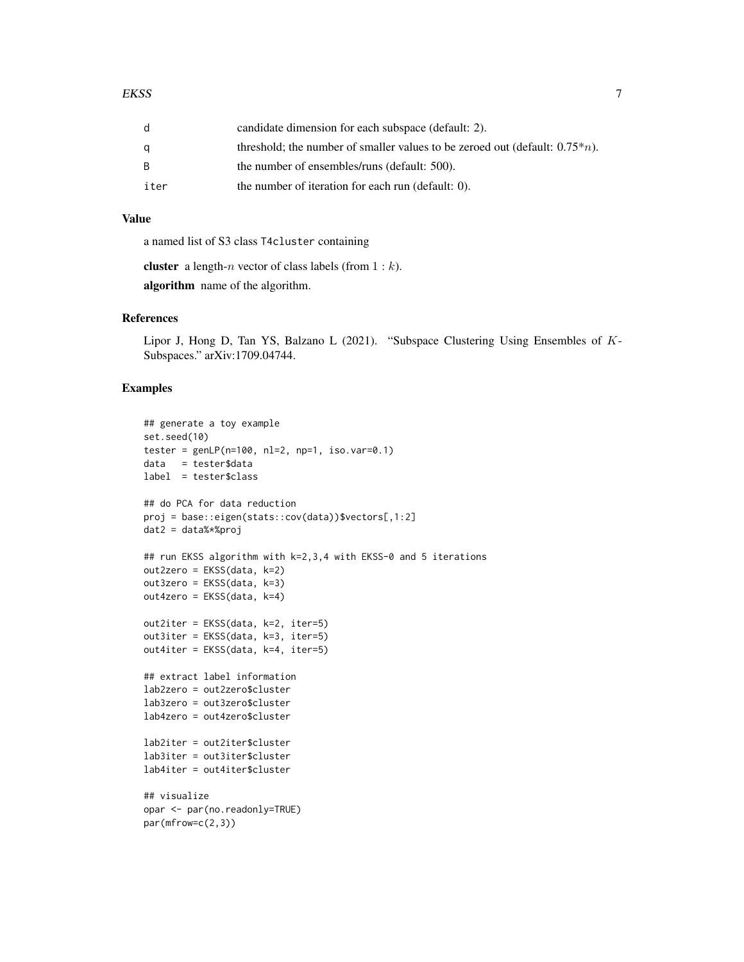|      | candidate dimension for each subspace (default: 2).                             |
|------|---------------------------------------------------------------------------------|
|      | threshold; the number of smaller values to be zeroed out (default: $0.75^*n$ ). |
| B.   | the number of ensembles/runs (default: 500).                                    |
| iter | the number of iteration for each run (default: 0).                              |

#### Value

a named list of S3 class T4cluster containing

**cluster** a length-*n* vector of class labels (from  $1 : k$ ).

algorithm name of the algorithm.

# References

Lipor J, Hong D, Tan YS, Balzano L (2021). "Subspace Clustering Using Ensembles of K-Subspaces." arXiv:1709.04744.

```
## generate a toy example
set.seed(10)
tester = genLP(n=100, nl=2, np=1, iso.var=0.1)data = tester$data
label = tester$class
## do PCA for data reduction
proj = base::eigen(stats::cov(data))$vectors[,1:2]
dat2 = data%*%proj
## run EKSS algorithm with k=2,3,4 with EKSS-0 and 5 iterations
out2zero = EKSS(data, k=2)
out3zero = EKSS(data, k=3)
out4zero = EKSS(data, k=4)
out2iter = EKSS(data, k=2, iter=5)
out3iter = EKSS(data, k=3, iter=5)
out4iter = EKSS(data, k=4, iter=5)
## extract label information
lab2zero = out2zero$cluster
lab3zero = out3zero$cluster
lab4zero = out4zero$cluster
lab2iter = out2iter$cluster
lab3iter = out3iter$cluster
lab4iter = out4iter$cluster
## visualize
opar <- par(no.readonly=TRUE)
par(mfrow=c(2,3))
```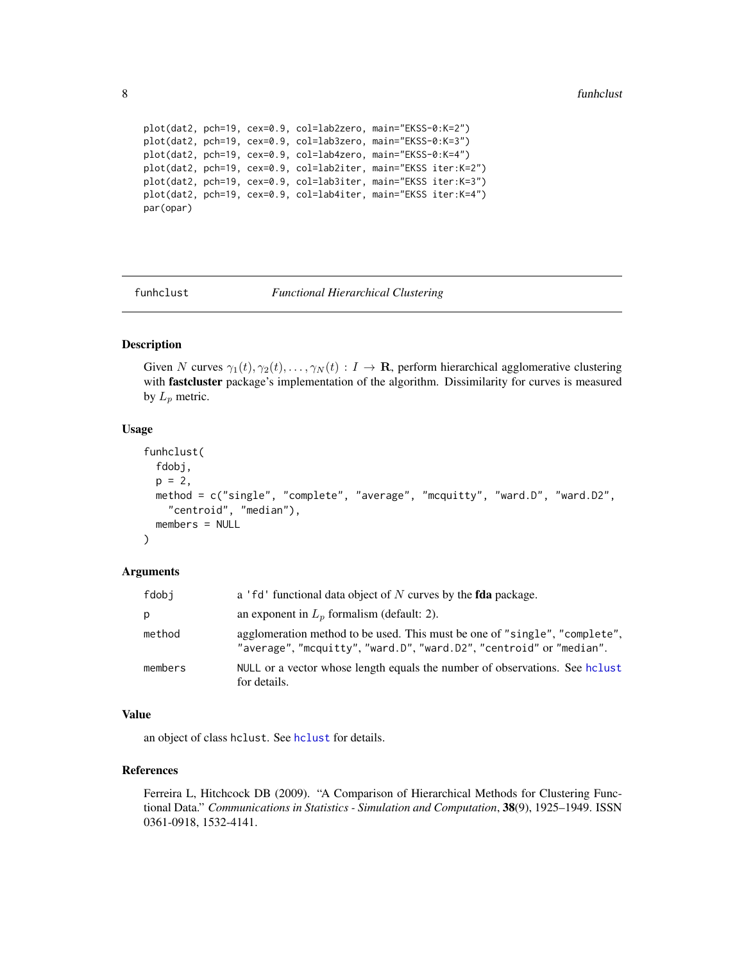```
plot(dat2, pch=19, cex=0.9, col=lab2zero, main="EKSS-0:K=2")
plot(dat2, pch=19, cex=0.9, col=lab3zero, main="EKSS-0:K=3")
plot(dat2, pch=19, cex=0.9, col=lab4zero, main="EKSS-0:K=4")
plot(dat2, pch=19, cex=0.9, col=lab2iter, main="EKSS iter:K=2")
plot(dat2, pch=19, cex=0.9, col=lab3iter, main="EKSS iter:K=3")
plot(dat2, pch=19, cex=0.9, col=lab4iter, main="EKSS iter:K=4")
par(opar)
```
funhclust *Functional Hierarchical Clustering*

# Description

Given N curves  $\gamma_1(t), \gamma_2(t), \ldots, \gamma_N(t) : I \to \mathbf{R}$ , perform hierarchical agglomerative clustering with fastcluster package's implementation of the algorithm. Dissimilarity for curves is measured by  $L_p$  metric.

#### Usage

```
funhclust(
  fdobj,
 p = 2,
 method = c("single", "complete", "average", "mcquitty", "ward.D", "ward.D2",
    "centroid", "median"),
 members = NULL
\lambda
```
# Arguments

| fdobi   | a 'fd' functional data object of N curves by the <b>fda</b> package.                                                                              |
|---------|---------------------------------------------------------------------------------------------------------------------------------------------------|
| p       | an exponent in $L_n$ formalism (default: 2).                                                                                                      |
| method  | agglomeration method to be used. This must be one of "single", "complete",<br>"average", "mcquitty", "ward.D", "ward.D2", "centroid" or "median". |
| members | NULL or a vector whose length equals the number of observations. See holyst<br>for details.                                                       |

#### Value

an object of class hclust. See [hclust](#page-0-0) for details.

# References

Ferreira L, Hitchcock DB (2009). "A Comparison of Hierarchical Methods for Clustering Functional Data." *Communications in Statistics - Simulation and Computation*, 38(9), 1925–1949. ISSN 0361-0918, 1532-4141.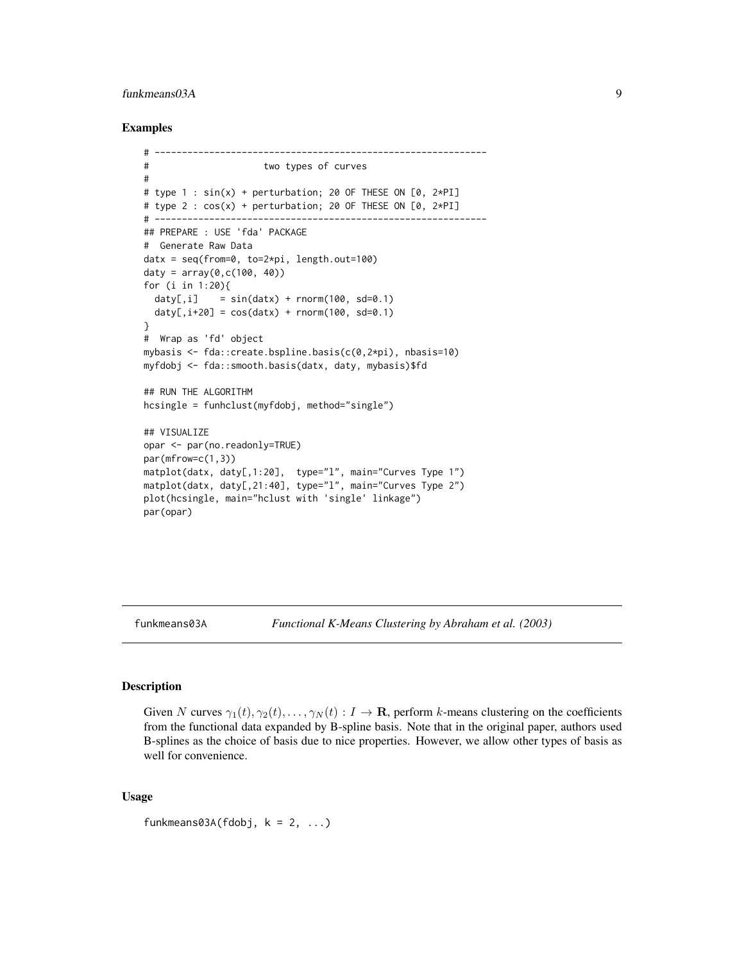# <span id="page-8-0"></span>funkmeans03A 9

#### Examples

```
# -------------------------------------------------------------
# two types of curves
#
# type 1 : sin(x) + perturbation; 20 OF THESE ON [0, 2*PI]
# type 2 : cos(x) + perturbation; 20 OF THESE ON [0, 2*PI]
# -------------------------------------------------------------
## PREPARE : USE 'fda' PACKAGE
# Generate Raw Data
datx = seq(from=0, to=2*pi, length.out=100)
\text{daty} = \text{array}(0, c(100, 40))for (i in 1:20){
  daty[i] = sin(datx) + rnorm(100, sd=0.1)
  \text{daty}[,i+20] = \cos(\text{data}) + \text{norm}(100, \text{ sd}=0.1)}
# Wrap as 'fd' object
mybasis <- fda::create.bspline.basis(c(0,2*pi), nbasis=10)
myfdobj <- fda::smooth.basis(datx, daty, mybasis)$fd
## RUN THE ALGORITHM
hcsingle = funhclust(myfdobj, method="single")
## VISUALIZE
opar <- par(no.readonly=TRUE)
par(mfrow=c(1,3))
matplot(datx, daty[,1:20], type="l", main="Curves Type 1")
matplot(datx, daty[,21:40], type="l", main="Curves Type 2")
plot(hcsingle, main="hclust with 'single' linkage")
par(opar)
```
funkmeans03A *Functional K-Means Clustering by Abraham et al. (2003)*

#### Description

Given N curves  $\gamma_1(t), \gamma_2(t), \ldots, \gamma_N(t) : I \to \mathbf{R}$ , perform k-means clustering on the coefficients from the functional data expanded by B-spline basis. Note that in the original paper, authors used B-splines as the choice of basis due to nice properties. However, we allow other types of basis as well for convenience.

#### Usage

funkmeans03A(fdobj,  $k = 2, ...$ )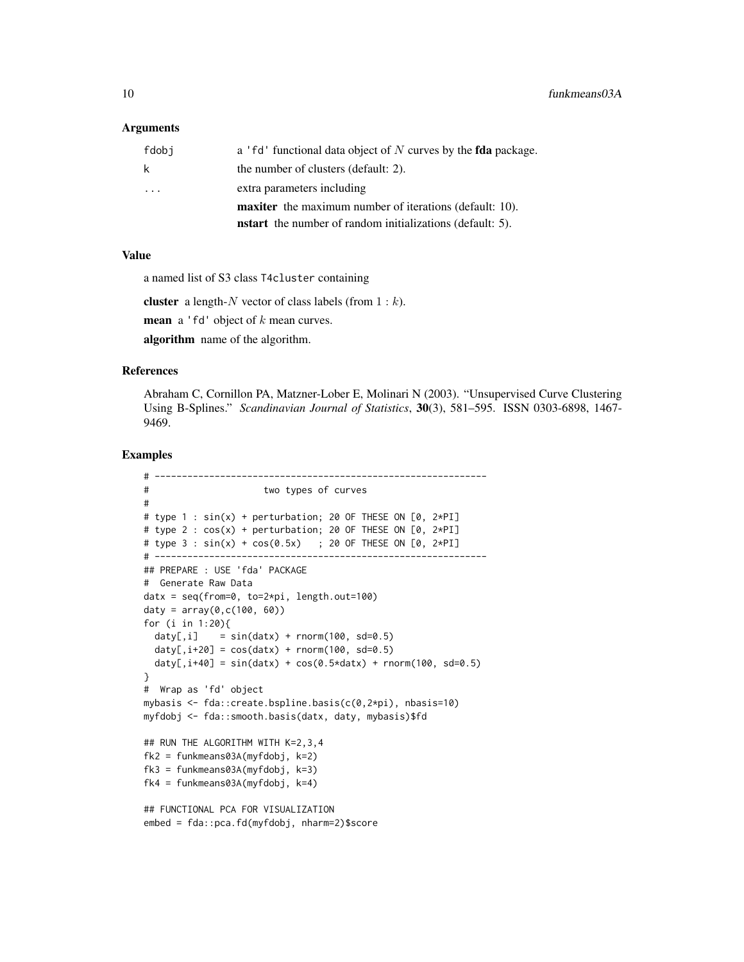#### Arguments

| fdobi   | a 'fd' functional data object of N curves by the <b>fda</b> package. |
|---------|----------------------------------------------------------------------|
| k       | the number of clusters (default: 2).                                 |
| $\cdot$ | extra parameters including                                           |
|         | <b>maxiter</b> the maximum number of iterations (default: 10).       |
|         | <b>nstart</b> the number of random initializations (default: 5).     |

#### Value

a named list of S3 class T4cluster containing

cluster a length- $N$  vector of class labels (from  $1 : k$ ).

**mean** a 'fd' object of  $k$  mean curves.

algorithm name of the algorithm.

#### References

Abraham C, Cornillon PA, Matzner-Lober E, Molinari N (2003). "Unsupervised Curve Clustering Using B-Splines." *Scandinavian Journal of Statistics*, 30(3), 581–595. ISSN 0303-6898, 1467- 9469.

```
# -------------------------------------------------------------
# two types of curves
#
# type 1 : sin(x) + perturbation; 20 OF THESE ON [0, 2*PI]
# type 2 : cos(x) + perturbation; 20 OF THESE ON [0, 2*PI]
# type 3 : sin(x) + cos(0.5x) ; 20 OF THESE ON [0, 2*PI]
# -------------------------------------------------------------
## PREPARE : USE 'fda' PACKAGE
# Generate Raw Data
datx = seq(from=0, to=2*pi, length.out=100)
\text{daty} = \text{array}(0, c(100, 60))for (i in 1:20){
  day[,i] = sin(data) + rnorm(100, sd=0.5)daty[,i+20] = cos(datx) + rnorm(100, sd=0.5)
  daty[,i+40] = sin(data) + cos(0.5*data) + rnorm(100, sd=0.5)}
# Wrap as 'fd' object
mybasis <- fda::create.bspline.basis(c(0,2*pi), nbasis=10)
myfdobj <- fda::smooth.basis(datx, daty, mybasis)$fd
## RUN THE ALGORITHM WITH K=2,3,4
fk2 = funkmeans03A(myfdobj, k=2)
fk3 = funkmeans03A(myfdobj, k=3)
fk4 = funkmeans03A(myfdobj, k=4)
## FUNCTIONAL PCA FOR VISUALIZATION
embed = fda::pca.fd(myfdobj, nharm=2)$score
```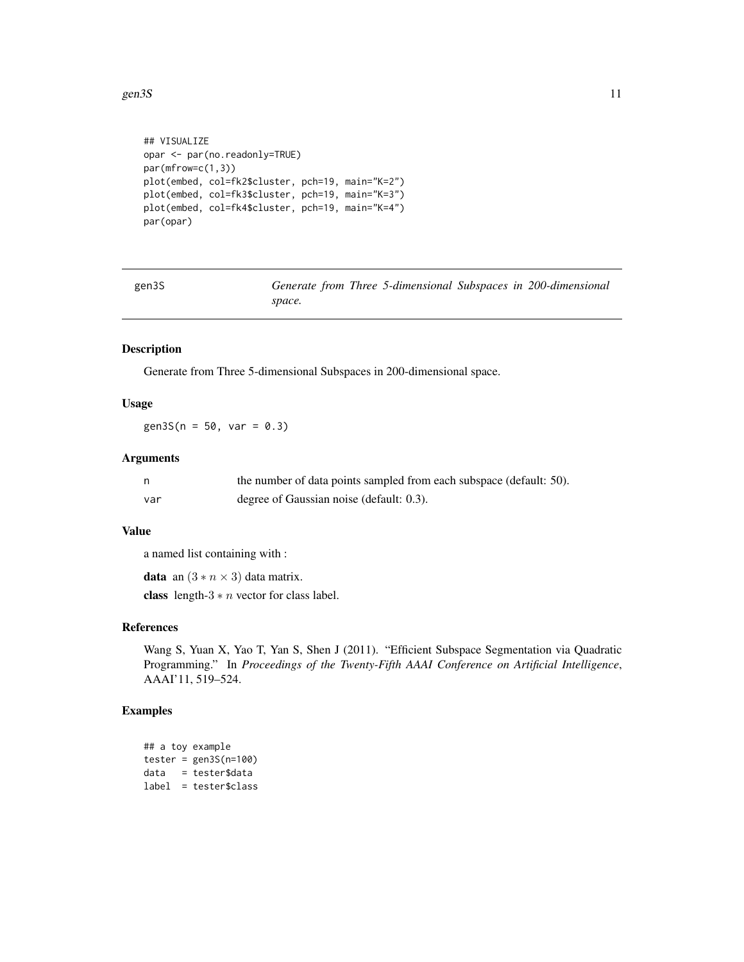#### <span id="page-10-0"></span>gen3S  $11$

```
## VISUALIZE
opar <- par(no.readonly=TRUE)
par(mfrow=c(1,3))
plot(embed, col=fk2$cluster, pch=19, main="K=2")
plot(embed, col=fk3$cluster, pch=19, main="K=3")
plot(embed, col=fk4$cluster, pch=19, main="K=4")
par(opar)
```

| gen3S | Generate from Three 5-dimensional Subspaces in 200-dimensional |
|-------|----------------------------------------------------------------|
|       | space.                                                         |

# Description

Generate from Three 5-dimensional Subspaces in 200-dimensional space.

# Usage

 $gen3S(n = 50, var = 0.3)$ 

#### Arguments

|      | the number of data points sampled from each subspace (default: 50). |
|------|---------------------------------------------------------------------|
| -var | degree of Gaussian noise (default: 0.3).                            |

## Value

a named list containing with :

**data** an  $(3 * n \times 3)$  data matrix.

class length- $3 * n$  vector for class label.

# References

Wang S, Yuan X, Yao T, Yan S, Shen J (2011). "Efficient Subspace Segmentation via Quadratic Programming." In *Proceedings of the Twenty-Fifth AAAI Conference on Artificial Intelligence*, AAAI'11, 519–524.

```
## a toy example
tester = gen3S(n=100)data = tester$data
label = tester$class
```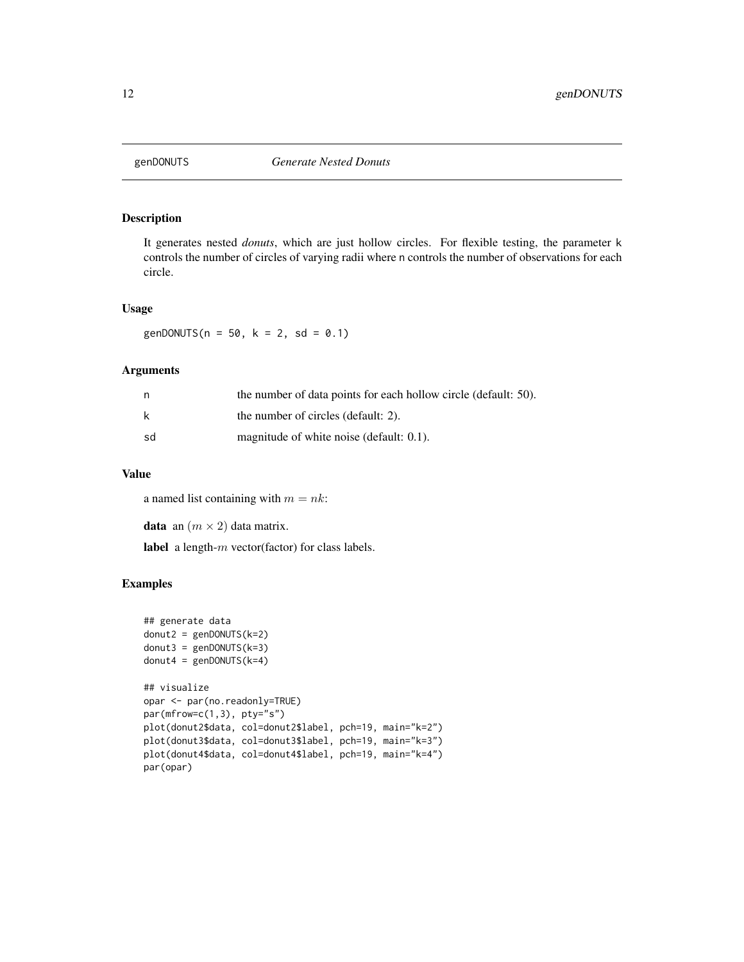<span id="page-11-0"></span>

# Description

It generates nested *donuts*, which are just hollow circles. For flexible testing, the parameter k controls the number of circles of varying radii where n controls the number of observations for each circle.

#### Usage

genDONUTS( $n = 50$ ,  $k = 2$ , sd = 0.1)

# Arguments

|     | the number of data points for each hollow circle (default: 50). |
|-----|-----------------------------------------------------------------|
| – k | the number of circles (default: 2).                             |
| sd  | magnitude of white noise (default: 0.1).                        |

# Value

a named list containing with  $m = nk$ :

**data** an  $(m \times 2)$  data matrix.

label a length-m vector(factor) for class labels.

```
## generate data
donut2 = genDONUTS(k=2)donut3 = genDONUTS(k=3)donut4 = genDONUTS(k=4)## visualize
opar <- par(no.readonly=TRUE)
par(mfrow=c(1,3), pty="s")
plot(donut2$data, col=donut2$label, pch=19, main="k=2")
plot(donut3$data, col=donut3$label, pch=19, main="k=3")
plot(donut4$data, col=donut4$label, pch=19, main="k=4")
par(opar)
```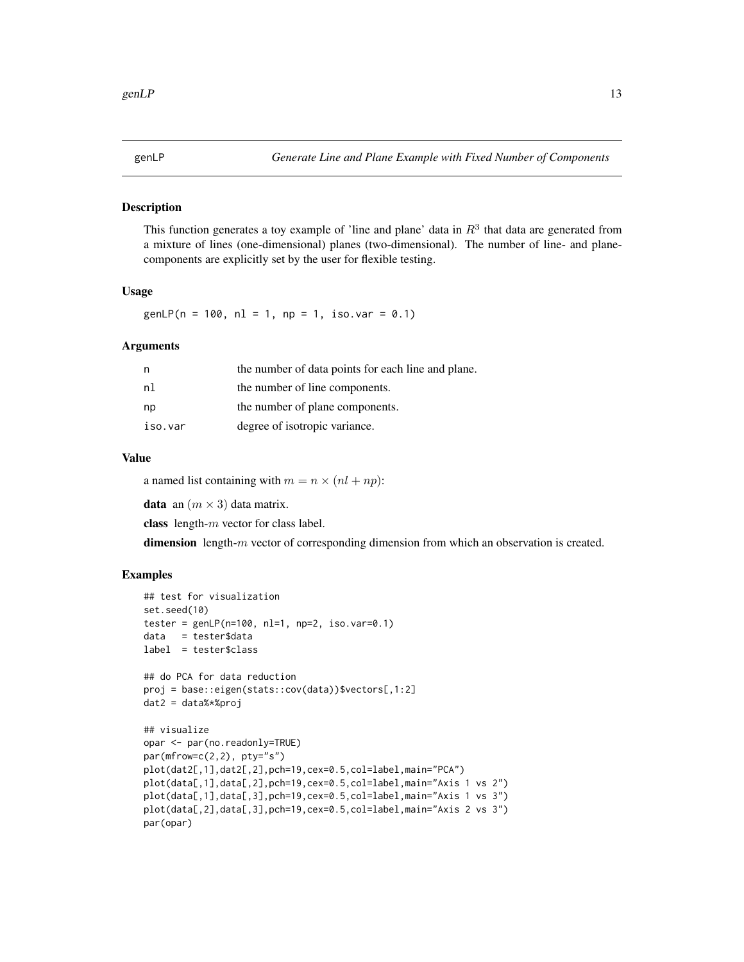#### <span id="page-12-0"></span>Description

This function generates a toy example of 'line and plane' data in  $R<sup>3</sup>$  that data are generated from a mixture of lines (one-dimensional) planes (two-dimensional). The number of line- and planecomponents are explicitly set by the user for flexible testing.

#### Usage

 $genLP(n = 100, nl = 1, np = 1, iso.var = 0.1)$ 

#### Arguments

| n       | the number of data points for each line and plane. |
|---------|----------------------------------------------------|
| nl      | the number of line components.                     |
| np      | the number of plane components.                    |
| iso.var | degree of isotropic variance.                      |

#### Value

a named list containing with  $m = n \times (nl + np)$ :

**data** an  $(m \times 3)$  data matrix.

class length-m vector for class label.

dimension length- $m$  vector of corresponding dimension from which an observation is created.

```
## test for visualization
set.seed(10)
tester = genLP(n=100, nl=1, np=2, iso.var=0.1)data = tester$data
label = tester$class
## do PCA for data reduction
proj = base::eigen(stats::cov(data))$vectors[,1:2]
dat2 = data%*%proj
## visualize
opar <- par(no.readonly=TRUE)
par(mfrow=c(2,2), pty="s")
plot(dat2[,1],dat2[,2],pch=19,cex=0.5,col=label,main="PCA")
plot(data[,1],data[,2],pch=19,cex=0.5,col=label,main="Axis 1 vs 2")
plot(data[,1],data[,3],pch=19,cex=0.5,col=label,main="Axis 1 vs 3")
plot(data[,2],data[,3],pch=19,cex=0.5,col=label,main="Axis 2 vs 3")
par(opar)
```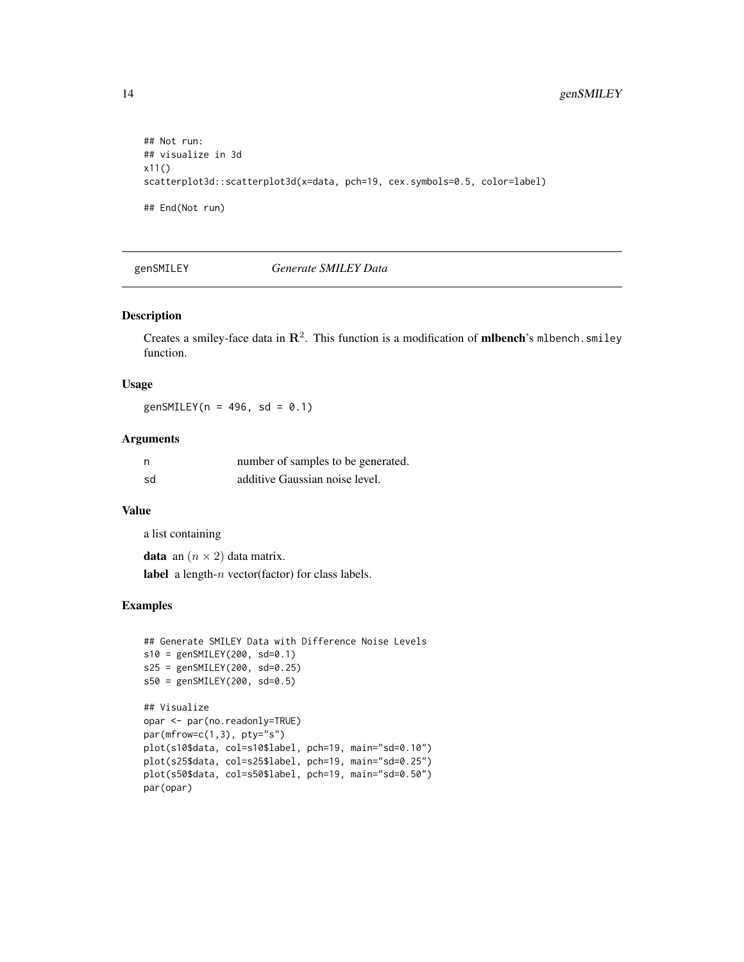```
## Not run:
## visualize in 3d
x11()
scatterplot3d::scatterplot3d(x=data, pch=19, cex.symbols=0.5, color=label)
## End(Not run)
```
genSMILEY *Generate SMILEY Data*

# Description

Creates a smiley-face data in  $\mathbb{R}^2$ . This function is a modification of **milbench**'s milbench. smiley function.

#### Usage

genSMILEY( $n = 496$ , sd = 0.1)

#### Arguments

| n  | number of samples to be generated. |
|----|------------------------------------|
| sd | additive Gaussian noise level.     |

# Value

a list containing

**data** an  $(n \times 2)$  data matrix.

label a length-n vector(factor) for class labels.

```
## Generate SMILEY Data with Difference Noise Levels
s10 = genSMILEY(200, sd=0.1)s25 = genSMILEY(200, sd=0.25)
s50 = genSMILEY(200, sd=0.5)
## Visualize
opar <- par(no.readonly=TRUE)
par(mfrow=c(1,3), pty="s")plot(s10$data, col=s10$label, pch=19, main="sd=0.10")
plot(s25$data, col=s25$label, pch=19, main="sd=0.25")
plot(s50$data, col=s50$label, pch=19, main="sd=0.50")
par(opar)
```
<span id="page-13-0"></span>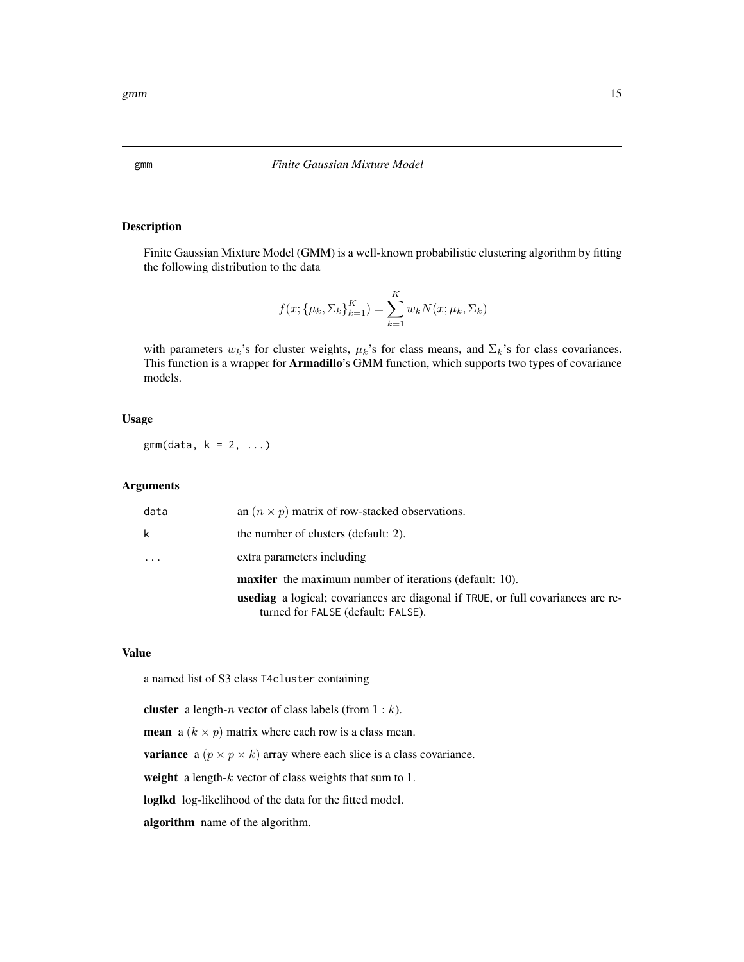# Description

Finite Gaussian Mixture Model (GMM) is a well-known probabilistic clustering algorithm by fitting the following distribution to the data

$$
f(x; {\mu_k, \Sigma_k}_{k=1}^K) = \sum_{k=1}^K w_k N(x; \mu_k, \Sigma_k)
$$

with parameters  $w_k$ 's for cluster weights,  $\mu_k$ 's for class means, and  $\Sigma_k$ 's for class covariances. This function is a wrapper for Armadillo's GMM function, which supports two types of covariance models.

#### Usage

 $gmm(data, k = 2, ...)$ 

#### Arguments

| data | an $(n \times p)$ matrix of row-stacked observations.                                                                         |
|------|-------------------------------------------------------------------------------------------------------------------------------|
| k    | the number of clusters (default: 2).                                                                                          |
| .    | extra parameters including                                                                                                    |
|      | <b>maxiter</b> the maximum number of iterations (default: 10).                                                                |
|      | <b>usediag</b> a logical; covariances are diagonal if TRUE, or full covariances are re-<br>turned for FALSE (default: FALSE). |
|      |                                                                                                                               |

#### Value

a named list of S3 class T4cluster containing

cluster a length-n vector of class labels (from  $1 : k$ ).

**mean** a ( $k \times p$ ) matrix where each row is a class mean.

**variance** a  $(p \times p \times k)$  array where each slice is a class covariance.

weight a length- $k$  vector of class weights that sum to 1.

loglkd log-likelihood of the data for the fitted model.

algorithm name of the algorithm.

<span id="page-14-0"></span>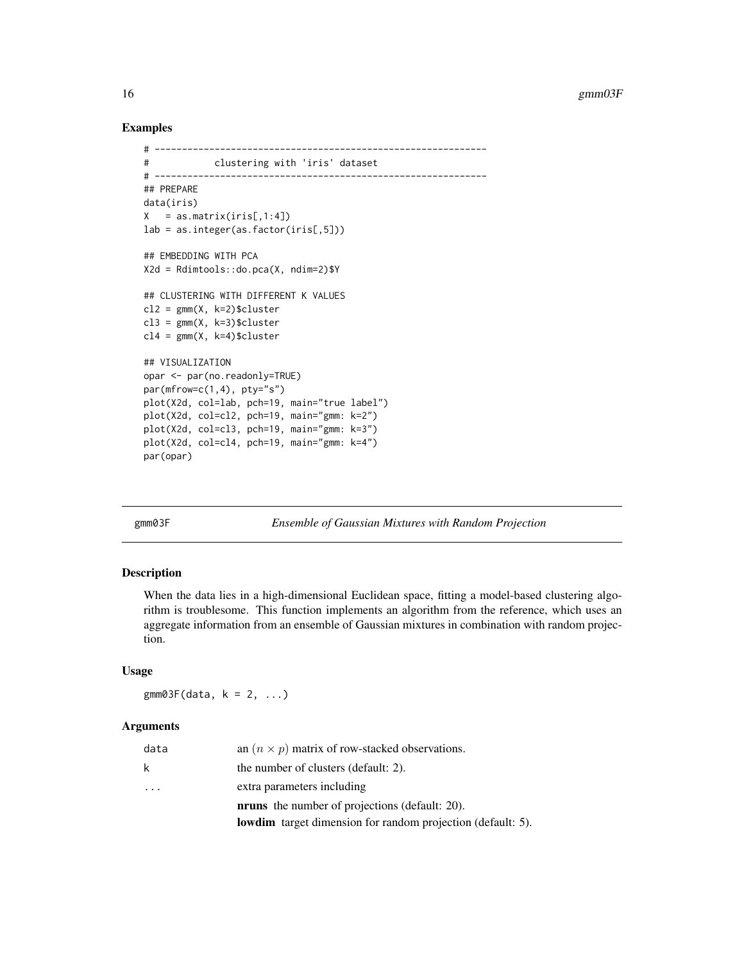#### Examples

```
# -------------------------------------------------------------
# clustering with 'iris' dataset
# -------------------------------------------------------------
## PREPARE
data(iris)
X = as_matrix(iris[,1:4])lab = as.integer(as.factor(iris[,5]))
## EMBEDDING WITH PCA
X2d = Rdimtools::do.pca(X, ndim=2)$Y
## CLUSTERING WITH DIFFERENT K VALUES
cl2 = gmm(X, k=2)$cluster
cl3 = gmm(X, k=3)$cluster
cl4 = gmm(X, k=4)$cluster
## VISUALIZATION
opar <- par(no.readonly=TRUE)
par(mfrow=c(1,4), pty="s")plot(X2d, col=lab, pch=19, main="true label")
plot(X2d, col=cl2, pch=19, main="gmm: k=2")
plot(X2d, col=cl3, pch=19, main="gmm: k=3")
plot(X2d, col=cl4, pch=19, main="gmm: k=4")
par(opar)
```
gmm03F *Ensemble of Gaussian Mixtures with Random Projection*

#### Description

When the data lies in a high-dimensional Euclidean space, fitting a model-based clustering algorithm is troublesome. This function implements an algorithm from the reference, which uses an aggregate information from an ensemble of Gaussian mixtures in combination with random projection.

#### Usage

 $gmm03F(data, k = 2, ...)$ 

#### Arguments

|          | <b>lowdim</b> target dimension for random projection (default: 5). |
|----------|--------------------------------------------------------------------|
|          | <b>nruns</b> the number of projections (default: 20).              |
| $\cdots$ | extra parameters including                                         |
| k        | the number of clusters (default: 2).                               |
| data     | an $(n \times p)$ matrix of row-stacked observations.              |

<span id="page-15-0"></span>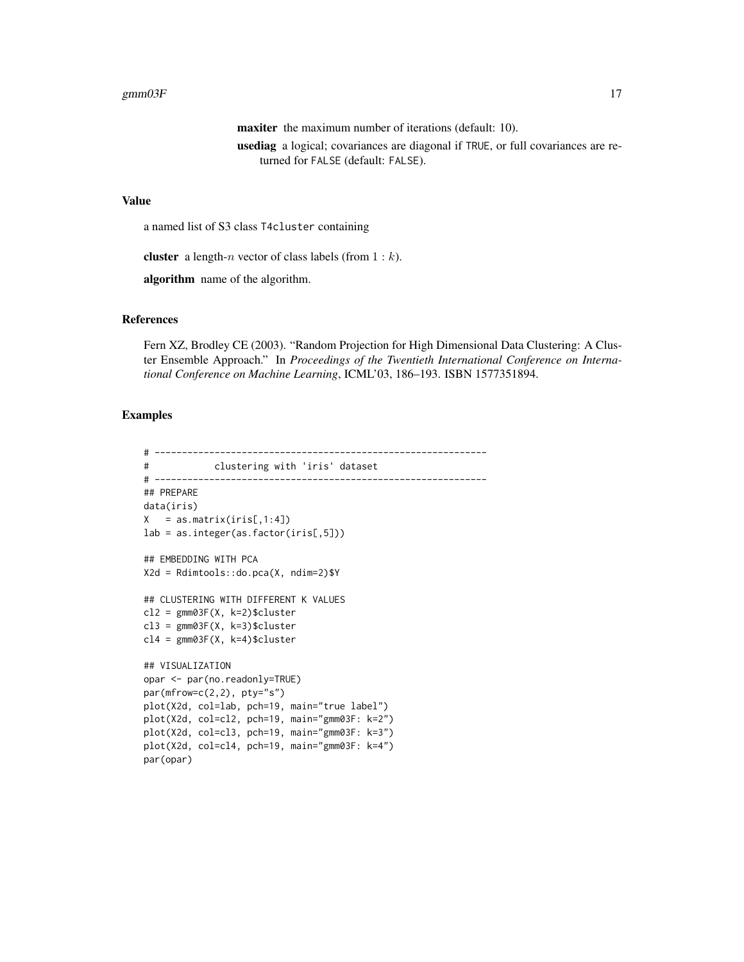#### gmm $03F$  and  $17$

maxiter the maximum number of iterations (default: 10). usediag a logical; covariances are diagonal if TRUE, or full covariances are returned for FALSE (default: FALSE).

#### Value

a named list of S3 class T4cluster containing

**cluster** a length-*n* vector of class labels (from  $1 : k$ ).

algorithm name of the algorithm.

# References

Fern XZ, Brodley CE (2003). "Random Projection for High Dimensional Data Clustering: A Cluster Ensemble Approach." In *Proceedings of the Twentieth International Conference on International Conference on Machine Learning*, ICML'03, 186–193. ISBN 1577351894.

```
# -------------------------------------------------------------
# clustering with 'iris' dataset
# -------------------------------------------------------------
## PREPARE
data(iris)
X = as_matrix(iris[, 1:4])lab = as.integer(as.factor(iris[,5]))
## EMBEDDING WITH PCA
X2d = Rdimtools::do.pca(X, ndim=2)$Y
## CLUSTERING WITH DIFFERENT K VALUES
cl2 = \text{gmm03F(X, k=2)}$cluster
cl3 = gmm03F(X, k=3)$cluster
cl4 = \text{gmm03F(X, k=4)}$cluster
## VISUALIZATION
opar <- par(no.readonly=TRUE)
par(mfrow=c(2,2), pty="s")plot(X2d, col=lab, pch=19, main="true label")
plot(X2d, col=cl2, pch=19, main="gmm03F: k=2")
plot(X2d, col=cl3, pch=19, main="gmm03F: k=3")
plot(X2d, col=cl4, pch=19, main="gmm03F: k=4")
par(opar)
```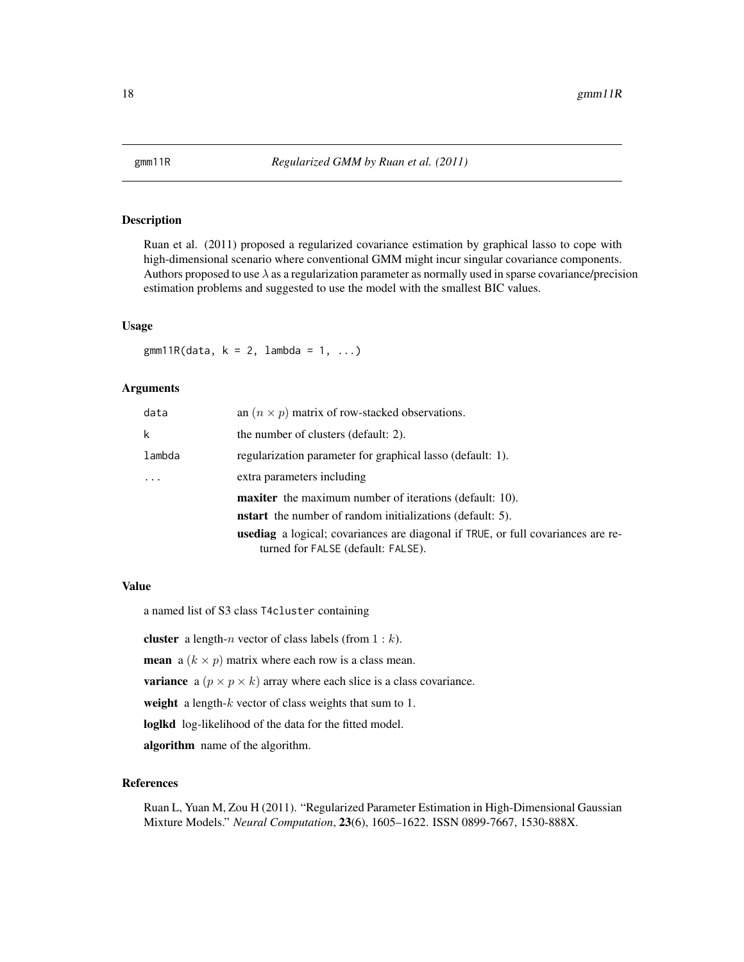<span id="page-17-0"></span>

# Description

Ruan et al. (2011) proposed a regularized covariance estimation by graphical lasso to cope with high-dimensional scenario where conventional GMM might incur singular covariance components. Authors proposed to use  $\lambda$  as a regularization parameter as normally used in sparse covariance/precision estimation problems and suggested to use the model with the smallest BIC values.

#### Usage

 $gmm11R(data, k = 2, lambda = 1, ...)$ 

## Arguments

| an $(n \times p)$ matrix of row-stacked observations.                                                                         |
|-------------------------------------------------------------------------------------------------------------------------------|
| the number of clusters (default: 2).                                                                                          |
| regularization parameter for graphical lasso (default: 1).                                                                    |
| extra parameters including                                                                                                    |
| <b>maxiter</b> the maximum number of iterations (default: 10).                                                                |
| <b>nstart</b> the number of random initializations (default: 5).                                                              |
| <b>usediag</b> a logical; covariances are diagonal if TRUE, or full covariances are re-<br>turned for FALSE (default: FALSE). |
|                                                                                                                               |

#### Value

a named list of S3 class T4cluster containing

**cluster** a length-*n* vector of class labels (from  $1 : k$ ).

**mean** a ( $k \times p$ ) matrix where each row is a class mean.

**variance** a  $(p \times p \times k)$  array where each slice is a class covariance.

weight a length- $k$  vector of class weights that sum to 1.

loglkd log-likelihood of the data for the fitted model.

algorithm name of the algorithm.

# References

Ruan L, Yuan M, Zou H (2011). "Regularized Parameter Estimation in High-Dimensional Gaussian Mixture Models." *Neural Computation*, 23(6), 1605–1622. ISSN 0899-7667, 1530-888X.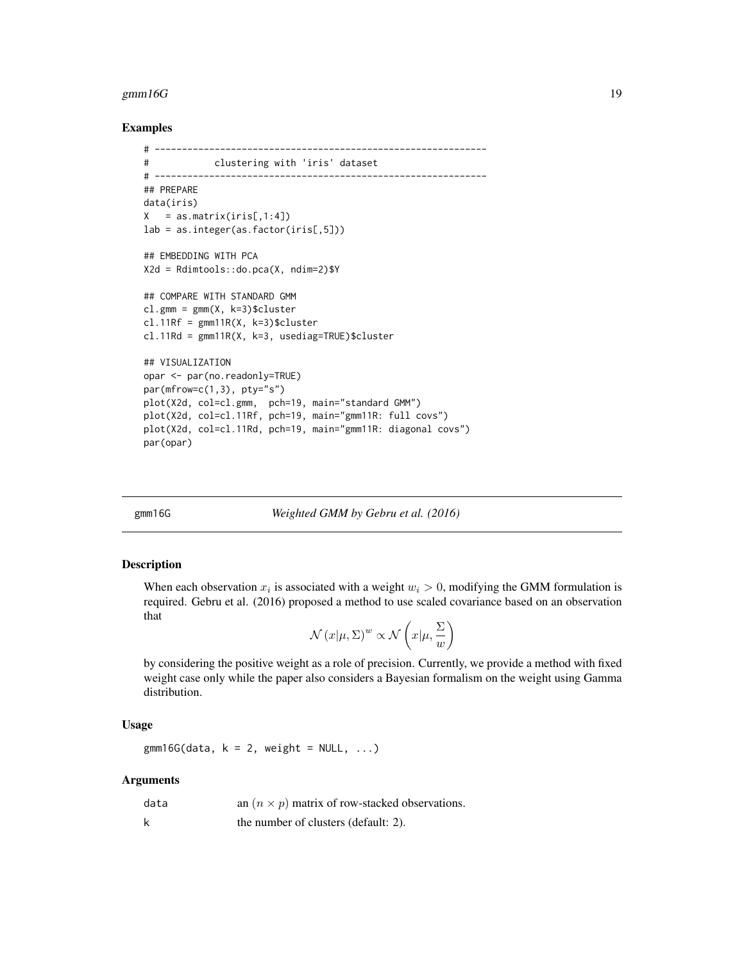#### <span id="page-18-0"></span> $gmm16G$  19

#### Examples

```
# -------------------------------------------------------------
# clustering with 'iris' dataset
# -------------------------------------------------------------
## PREPARE
data(iris)
X = as_matrix(iris[,1:4])lab = as.integer(as.factor(iris[,5]))
## EMBEDDING WITH PCA
X2d = Rdimtools::do.pca(X, ndim=2)$Y
## COMPARE WITH STANDARD GMM
cl.gmm = gmm(X, k=3)$cluster
cl.11Rf = gmm11R(X, k=3)$cluster
cl.11Rd = gmm11R(X, k=3, usediag=TRUE)$cluster
## VISUALIZATION
opar <- par(no.readonly=TRUE)
par(mfrow=c(1,3), pty="s")plot(X2d, col=cl.gmm, pch=19, main="standard GMM")
plot(X2d, col=cl.11Rf, pch=19, main="gmm11R: full covs")
plot(X2d, col=cl.11Rd, pch=19, main="gmm11R: diagonal covs")
par(opar)
```
gmm16G *Weighted GMM by Gebru et al. (2016)*

#### Description

When each observation  $x_i$  is associated with a weight  $w_i > 0$ , modifying the GMM formulation is required. Gebru et al. (2016) proposed a method to use scaled covariance based on an observation that

$$
\mathcal{N}(x|\mu, \Sigma)^{w} \propto \mathcal{N}\left(x|\mu, \frac{\Sigma}{w}\right)
$$

by considering the positive weight as a role of precision. Currently, we provide a method with fixed weight case only while the paper also considers a Bayesian formalism on the weight using Gamma distribution.

## Usage

 $gmm16G(data, k = 2, weight = NULL, ...)$ 

# Arguments

| data | an $(n \times p)$ matrix of row-stacked observations. |
|------|-------------------------------------------------------|
|      | the number of clusters (default: 2).                  |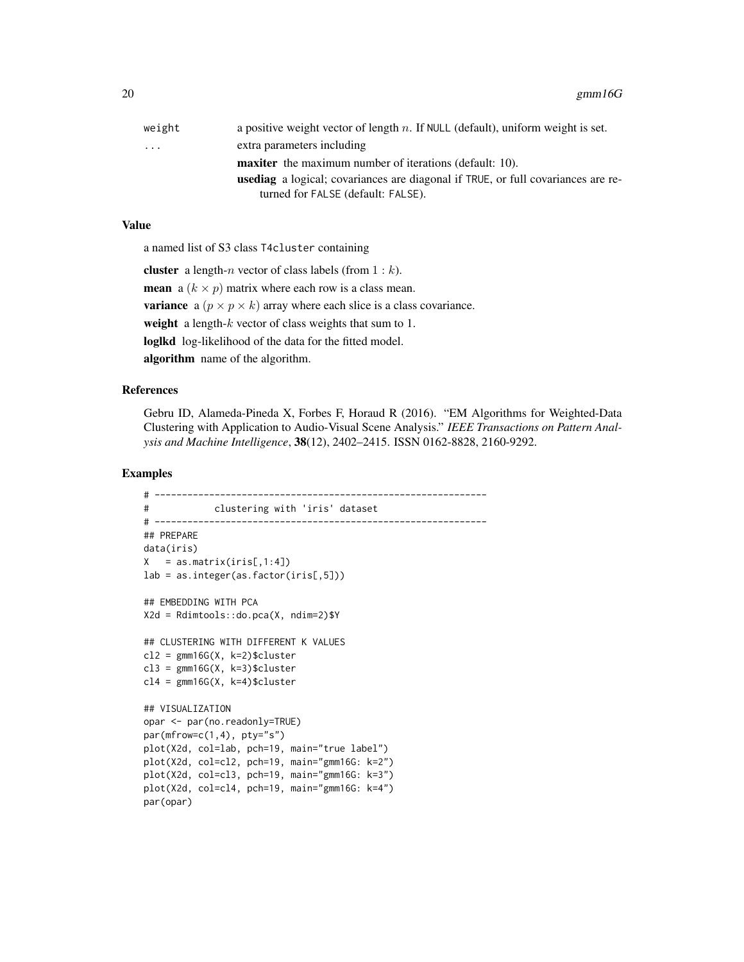| weight | a positive weight vector of length $n$ . If NULL (default), uniform weight is set.      |
|--------|-----------------------------------------------------------------------------------------|
| .      | extra parameters including                                                              |
|        | <b>maxiter</b> the maximum number of iterations (default: 10).                          |
|        | <b>usediag</b> a logical; covariances are diagonal if TRUE, or full covariances are re- |
|        | turned for FALSE (default: FALSE).                                                      |
|        |                                                                                         |

# Value

a named list of S3 class T4cluster containing

cluster a length-n vector of class labels (from  $1 : k$ ). **mean** a  $(k \times p)$  matrix where each row is a class mean. **variance** a  $(p \times p \times k)$  array where each slice is a class covariance. weight a length- $k$  vector of class weights that sum to 1. loglkd log-likelihood of the data for the fitted model. algorithm name of the algorithm.

#### References

Gebru ID, Alameda-Pineda X, Forbes F, Horaud R (2016). "EM Algorithms for Weighted-Data Clustering with Application to Audio-Visual Scene Analysis." *IEEE Transactions on Pattern Analysis and Machine Intelligence*, 38(12), 2402–2415. ISSN 0162-8828, 2160-9292.

```
# -------------------------------------------------------------
# clustering with 'iris' dataset
# -------------------------------------------------------------
## PREPARE
data(iris)
X = as_matrix(iris[,1:4])lab = as.integer(as.factor(iris[,5]))
## EMBEDDING WITH PCA
X2d = Rdimtools::do.pca(X, ndim=2)$Y
## CLUSTERING WITH DIFFERENT K VALUES
cl2 = gmm16G(X, k=2)$cluster
cl3 = gmm16G(X, k=3)$cluster
cl4 = gmm16G(X, k=4)$cluster
## VISUALIZATION
opar <- par(no.readonly=TRUE)
par(mfrow=c(1,4), pty="s")
plot(X2d, col=lab, pch=19, main="true label")
plot(X2d, col=cl2, pch=19, main="gmm16G: k=2")
plot(X2d, col=cl3, pch=19, main="gmm16G: k=3")
plot(X2d, col=cl4, pch=19, main="gmm16G: k=4")
par(opar)
```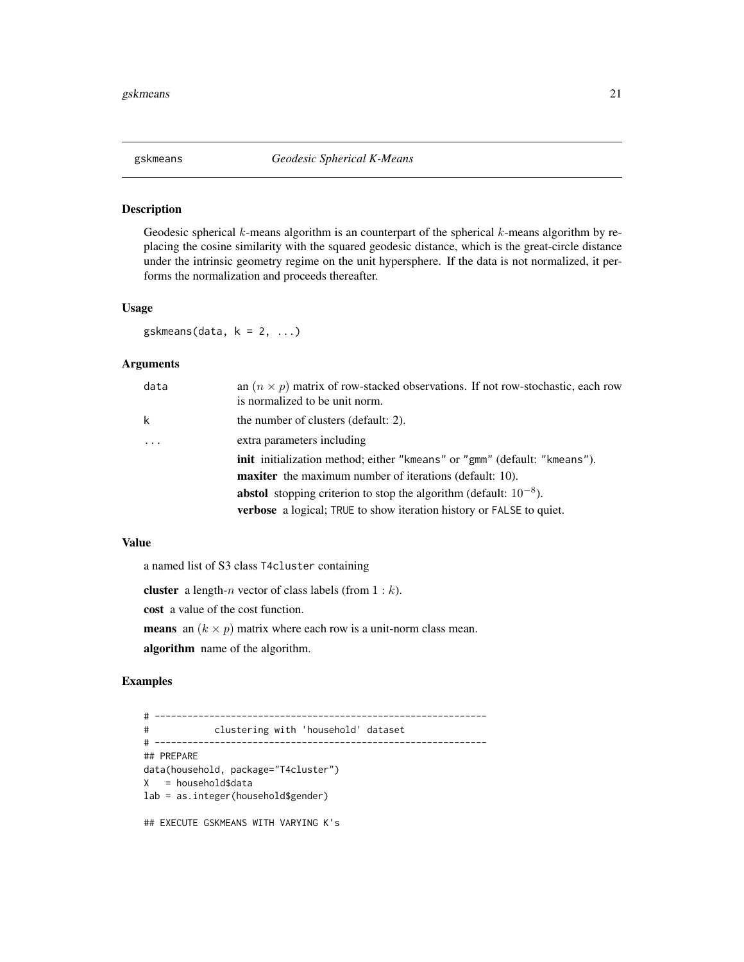<span id="page-20-0"></span>

# Description

Geodesic spherical  $k$ -means algorithm is an counterpart of the spherical  $k$ -means algorithm by replacing the cosine similarity with the squared geodesic distance, which is the great-circle distance under the intrinsic geometry regime on the unit hypersphere. If the data is not normalized, it performs the normalization and proceeds thereafter.

#### Usage

gskmeans(data,  $k = 2, ...$ )

#### Arguments

| data     | an $(n \times p)$ matrix of row-stacked observations. If not row-stochastic, each row<br>is normalized to be unit norm. |
|----------|-------------------------------------------------------------------------------------------------------------------------|
| k        | the number of clusters (default: 2).                                                                                    |
| $\ddots$ | extra parameters including                                                                                              |
|          | init initialization method; either "kmeans" or "gmm" (default: "kmeans").                                               |
|          | <b>maxiter</b> the maximum number of iterations (default: 10).                                                          |
|          | <b>abstol</b> stopping criterion to stop the algorithm (default: $10^{-8}$ ).                                           |
|          | <b>verbose</b> a logical; TRUE to show iteration history or FALSE to quiet.                                             |

#### Value

a named list of S3 class T4cluster containing

**cluster** a length-*n* vector of class labels (from  $1 : k$ ).

cost a value of the cost function.

**means** an  $(k \times p)$  matrix where each row is a unit-norm class mean.

algorithm name of the algorithm.

# Examples

# ------------------------------------------------------------- # clustering with 'household' dataset # ------------------------------------------------------------- ## PREPARE data(household, package="T4cluster") X = household\$data lab = as.integer(household\$gender) ## EXECUTE GSKMEANS WITH VARYING K's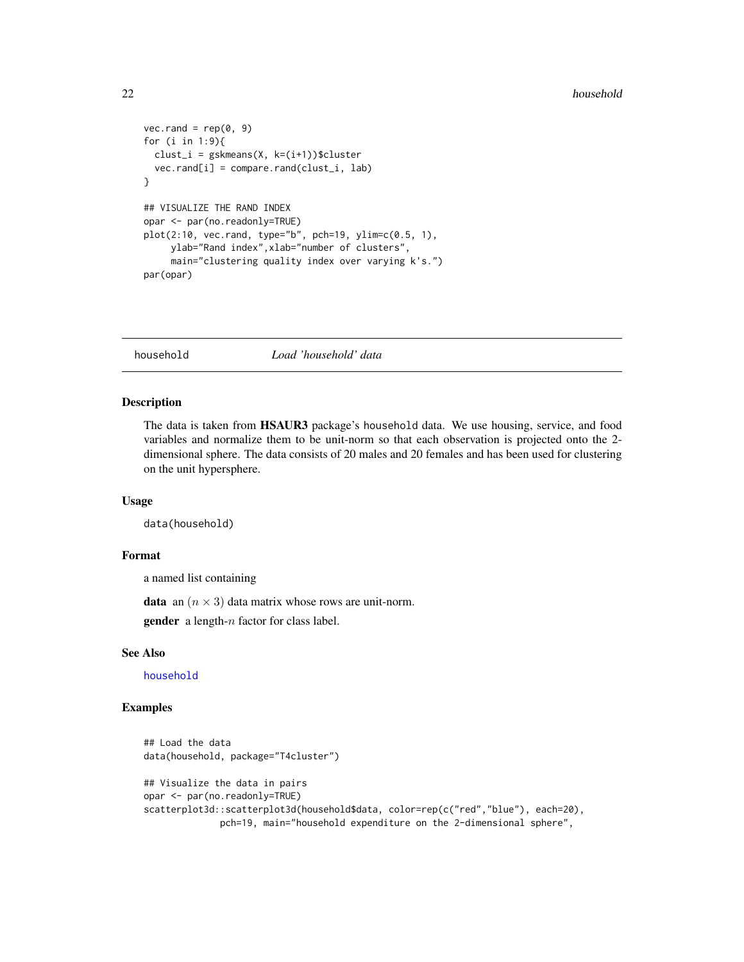#### <span id="page-21-0"></span> $22$  household

```
vec.random = rep(0, 9)for (i in 1:9){
  clust_i = gskmeans(X, k=(i+1))$cluster
  vec.rand[i] = compare.rand(clust_i, lab)
}
## VISUALIZE THE RAND INDEX
opar <- par(no.readonly=TRUE)
plot(2:10, vec.random, type="b", pch=19, ylim=c(0.5, 1),ylab="Rand index",xlab="number of clusters",
     main="clustering quality index over varying k's.")
par(opar)
```
<span id="page-21-1"></span>household *Load 'household' data*

#### Description

The data is taken from HSAUR3 package's household data. We use housing, service, and food variables and normalize them to be unit-norm so that each observation is projected onto the 2 dimensional sphere. The data consists of 20 males and 20 females and has been used for clustering on the unit hypersphere.

# Usage

data(household)

# Format

a named list containing

**data** an  $(n \times 3)$  data matrix whose rows are unit-norm.

**gender** a length- $n$  factor for class label.

#### See Also

[household](#page-21-1)

```
## Load the data
data(household, package="T4cluster")
## Visualize the data in pairs
opar <- par(no.readonly=TRUE)
scatterplot3d::scatterplot3d(household$data, color=rep(c("red","blue"), each=20),
              pch=19, main="household expenditure on the 2-dimensional sphere",
```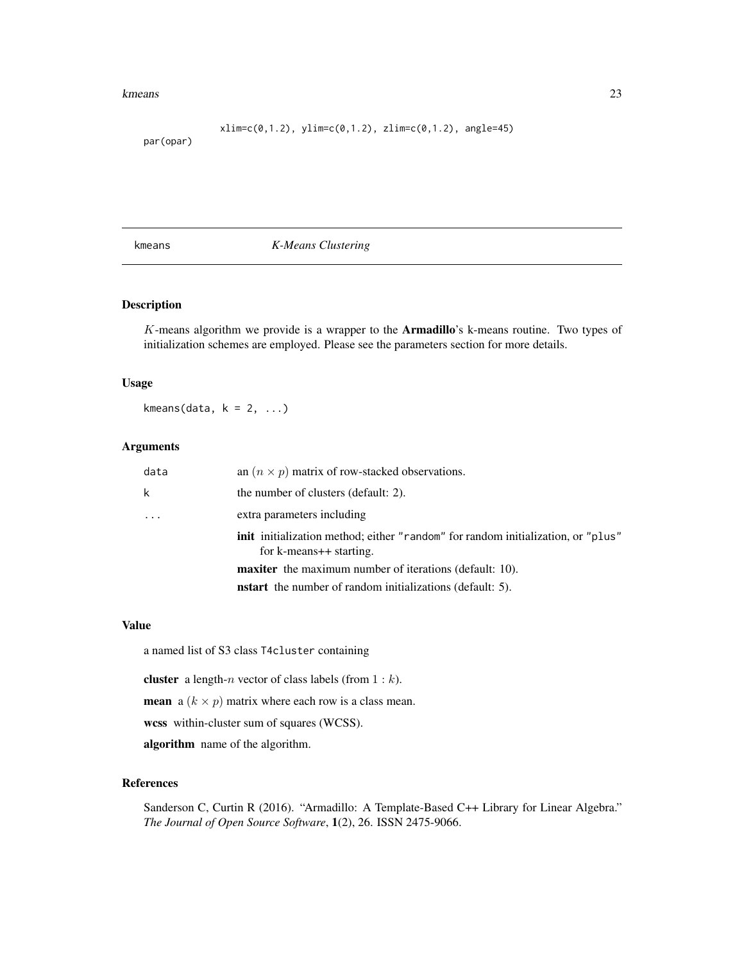#### <span id="page-22-0"></span>kmeans 23

 $xlim=c(0,1.2)$ ,  $ylim=c(0,1.2)$ ,  $zlim=c(0,1.2)$ ,  $angle=45)$ 

#### par(opar)

kmeans *K-Means Clustering*

#### Description

K-means algorithm we provide is a wrapper to the Armadillo's k-means routine. Two types of initialization schemes are employed. Please see the parameters section for more details.

#### Usage

kmeans(data,  $k = 2, ...$ )

#### Arguments

| data | an $(n \times p)$ matrix of row-stacked observations.                                                       |
|------|-------------------------------------------------------------------------------------------------------------|
| k    | the number of clusters (default: 2).                                                                        |
|      | extra parameters including                                                                                  |
|      | init initialization method; either "random" for random initialization, or "plus"<br>for k-means++ starting. |
|      | <b>maxiter</b> the maximum number of iterations (default: 10).                                              |
|      | <b>nstart</b> the number of random initializations (default: 5).                                            |

#### Value

a named list of S3 class T4cluster containing

**cluster** a length-*n* vector of class labels (from  $1 : k$ ).

**mean** a ( $k \times p$ ) matrix where each row is a class mean.

wcss within-cluster sum of squares (WCSS).

algorithm name of the algorithm.

#### References

Sanderson C, Curtin R (2016). "Armadillo: A Template-Based C++ Library for Linear Algebra." *The Journal of Open Source Software*, 1(2), 26. ISSN 2475-9066.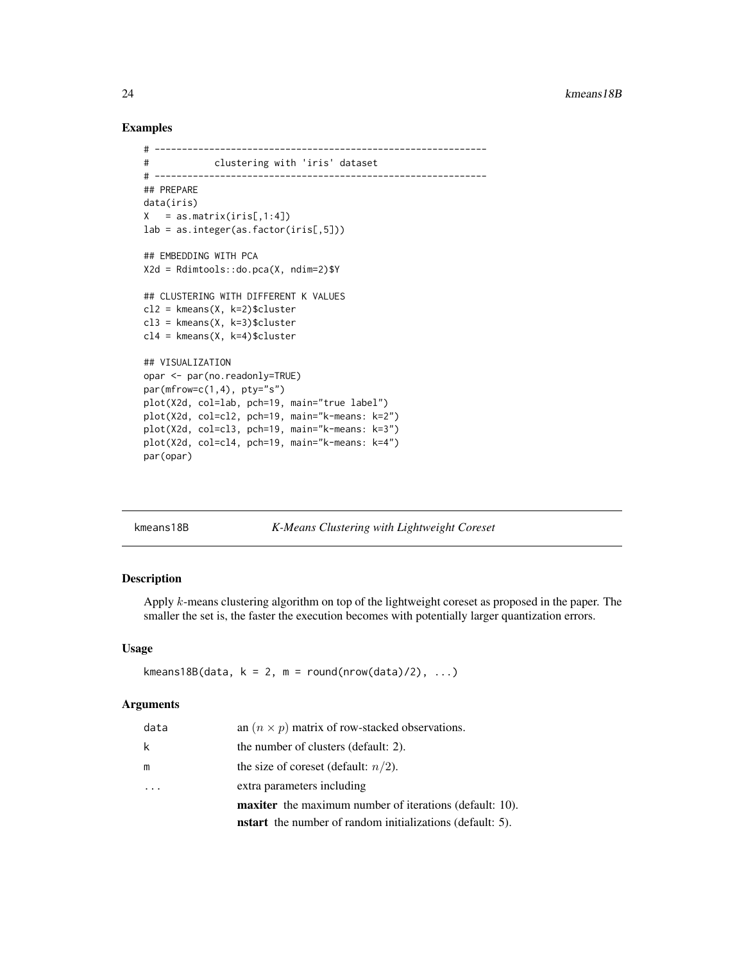#### Examples

```
# -------------------------------------------------------------
# clustering with 'iris' dataset
# -------------------------------------------------------------
## PREPARE
data(iris)
X = as_matrix(iris[,1:4])lab = as.integer(as.factor(iris[,5]))
## EMBEDDING WITH PCA
X2d = Rdimtools::do.pca(X, ndim=2)$Y
## CLUSTERING WITH DIFFERENT K VALUES
cl2 = kmeans(X, k=2)$cluster
cl3 = kmeans(X, k=3)$cluster
cl4 = kmeans(X, k=4)$cluster
## VISUALIZATION
opar <- par(no.readonly=TRUE)
par(mfrow=c(1,4), pty="s")plot(X2d, col=lab, pch=19, main="true label")
plot(X2d, col=cl2, pch=19, main="k-means: k=2")
plot(X2d, col=cl3, pch=19, main="k-means: k=3")
plot(X2d, col=cl4, pch=19, main="k-means: k=4")
par(opar)
```
# kmeans18B *K-Means Clustering with Lightweight Coreset*

#### Description

Apply k-means clustering algorithm on top of the lightweight coreset as proposed in the paper. The smaller the set is, the faster the execution becomes with potentially larger quantization errors.

#### Usage

```
kmeans18B(data, k = 2, m = round(nrow(data)/2), ...)
```
#### Arguments

|      | <b>nstart</b> the number of random initializations (default: 5). |
|------|------------------------------------------------------------------|
|      | maxiter the maximum number of iterations (default: 10).          |
|      | extra parameters including                                       |
| m    | the size of coreset (default: $n/2$ ).                           |
| k    | the number of clusters (default: 2).                             |
| data | an $(n \times p)$ matrix of row-stacked observations.            |

<span id="page-23-0"></span>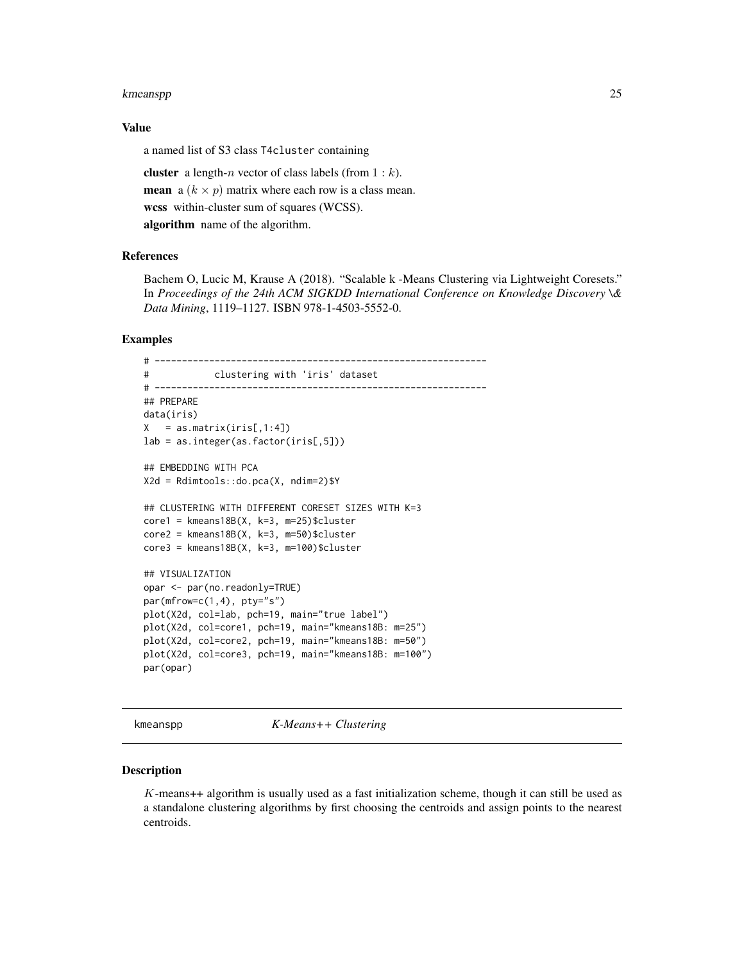#### <span id="page-24-0"></span>kmeanspp $\qquad \qquad \qquad \qquad$  25

#### Value

a named list of S3 class T4cluster containing

**cluster** a length-*n* vector of class labels (from  $1 : k$ ). **mean** a  $(k \times p)$  matrix where each row is a class mean. wcss within-cluster sum of squares (WCSS). algorithm name of the algorithm.

#### References

Bachem O, Lucic M, Krause A (2018). "Scalable k -Means Clustering via Lightweight Coresets." In *Proceedings of the 24th ACM SIGKDD International Conference on Knowledge Discovery \& Data Mining*, 1119–1127. ISBN 978-1-4503-5552-0.

#### Examples

```
# -------------------------------------------------------------
# clustering with 'iris' dataset
# -------------------------------------------------------------
## PREPARE
data(iris)
X = as_matrix(iris[,1:4])lab = as.integer(as.factor(iris[,5]))
## EMBEDDING WITH PCA
X2d = Rdimtools::do.pca(X, ndim=2)$Y
## CLUSTERING WITH DIFFERENT CORESET SIZES WITH K=3
core1 = kmeans18B(X, k=3, m=25)$cluster
core2 = kmeans18B(X, k=3, m=50)$cluster
core3 = kmeans18B(X, k=3, m=100)$cluster
## VISUALIZATION
opar <- par(no.readonly=TRUE)
par(mfrow=c(1,4), pty="s")
plot(X2d, col=lab, pch=19, main="true label")
plot(X2d, col=core1, pch=19, main="kmeans18B: m=25")
plot(X2d, col=core2, pch=19, main="kmeans18B: m=50")
plot(X2d, col=core3, pch=19, main="kmeans18B: m=100")
par(opar)
```
kmeanspp *K-Means++ Clustering*

#### Description

 $K$ -means++ algorithm is usually used as a fast initialization scheme, though it can still be used as a standalone clustering algorithms by first choosing the centroids and assign points to the nearest centroids.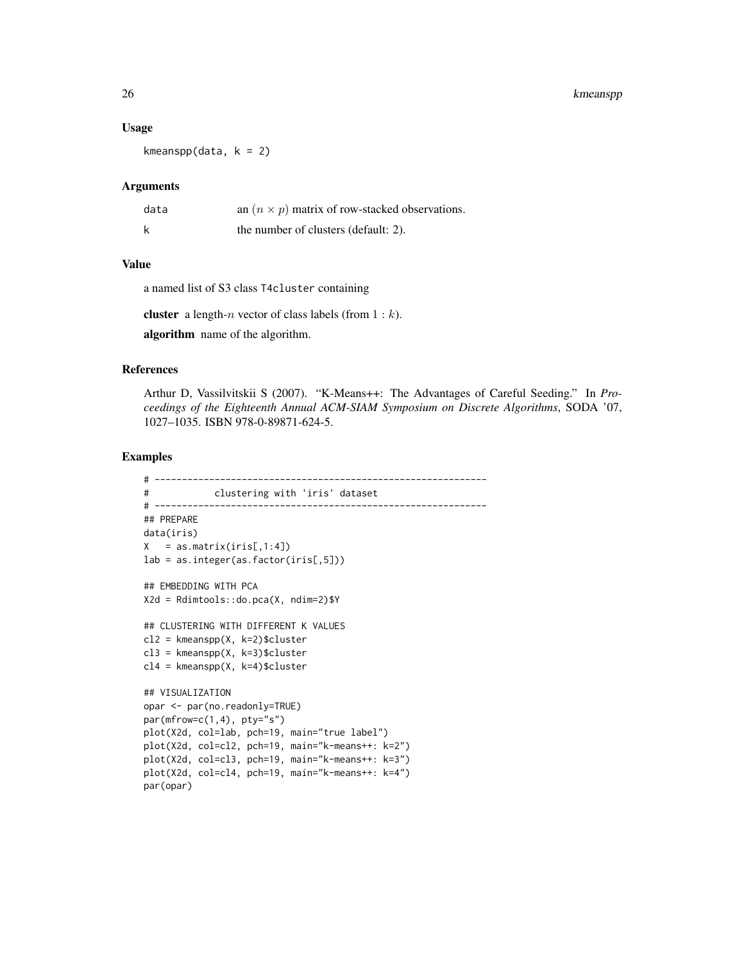#### Usage

kmeanspp(data,  $k = 2$ )

# Arguments

| data | an $(n \times p)$ matrix of row-stacked observations. |
|------|-------------------------------------------------------|
| k    | the number of clusters (default: 2).                  |

# Value

a named list of S3 class T4cluster containing

**cluster** a length-*n* vector of class labels (from  $1 : k$ ).

algorithm name of the algorithm.

# References

Arthur D, Vassilvitskii S (2007). "K-Means++: The Advantages of Careful Seeding." In *Proceedings of the Eighteenth Annual ACM-SIAM Symposium on Discrete Algorithms*, SODA '07, 1027–1035. ISBN 978-0-89871-624-5.

```
# -------------------------------------------------------------
# clustering with 'iris' dataset
# -------------------------------------------------------------
## PREPARE
data(iris)
X = as_matrix(iris[,1:4])lab = as.integer(as.factor(iris[,5]))
## EMBEDDING WITH PCA
X2d = Rdimtools::do.pca(X, ndim=2)$Y
## CLUSTERING WITH DIFFERENT K VALUES
cl2 = kmeanspp(X, k=2)$cluster
cl3 = kmeanspp(X, k=3)$cluster
cl4 = kmeanspp(X, k=4)$cluster
## VISUALIZATION
opar <- par(no.readonly=TRUE)
par(mfrow=c(1,4), pty="s")
plot(X2d, col=lab, pch=19, main="true label")
plot(X2d, col=cl2, pch=19, main="k-means++: k=2")
plot(X2d, col=cl3, pch=19, main="k-means++: k=3")
plot(X2d, col=cl4, pch=19, main="k-means++: k=4")
par(opar)
```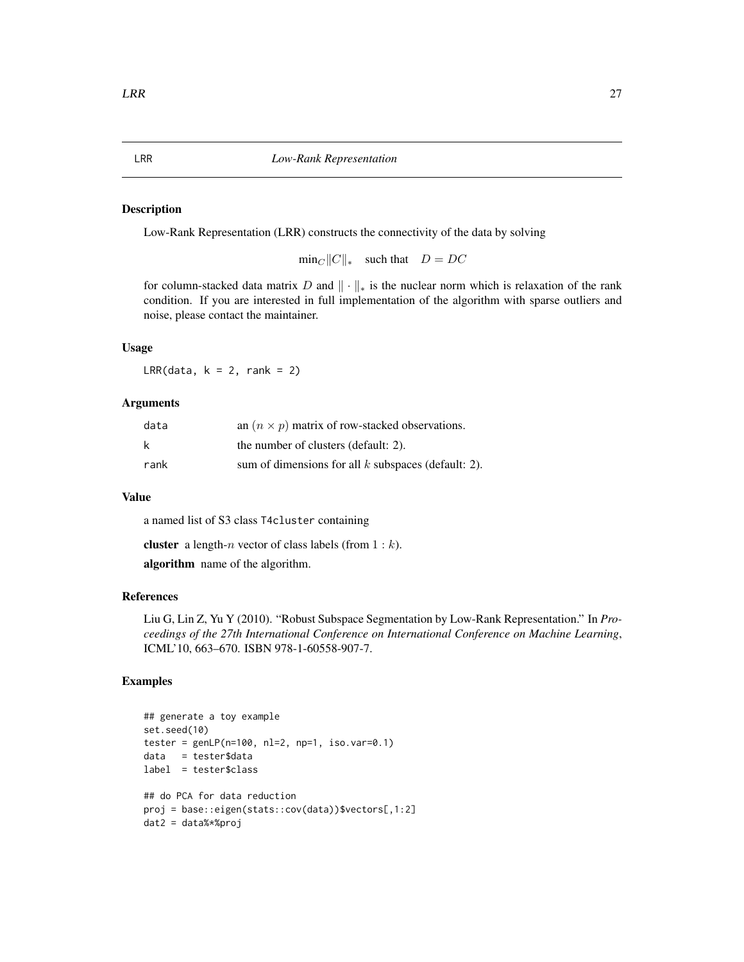#### <span id="page-26-0"></span>Description

Low-Rank Representation (LRR) constructs the connectivity of the data by solving

 $\min_C ||C||_*$  such that  $D = DC$ 

for column-stacked data matrix D and  $\|\cdot\|_*$  is the nuclear norm which is relaxation of the rank condition. If you are interested in full implementation of the algorithm with sparse outliers and noise, please contact the maintainer.

# Usage

LRR(data,  $k = 2$ , rank = 2)

#### Arguments

| data | an $(n \times p)$ matrix of row-stacked observations. |
|------|-------------------------------------------------------|
| k    | the number of clusters (default: 2).                  |
| rank | sum of dimensions for all $k$ subspaces (default: 2). |

#### Value

a named list of S3 class T4cluster containing

**cluster** a length-*n* vector of class labels (from  $1 : k$ ).

algorithm name of the algorithm.

#### References

Liu G, Lin Z, Yu Y (2010). "Robust Subspace Segmentation by Low-Rank Representation." In *Proceedings of the 27th International Conference on International Conference on Machine Learning*, ICML'10, 663–670. ISBN 978-1-60558-907-7.

```
## generate a toy example
set.seed(10)
tester = genLP(n=100, nl=2, np=1, iso.var=0.1)data = tester$data
label = tester$class
## do PCA for data reduction
proj = base::eigen(stats::cov(data))$vectors[,1:2]
dat2 = data%*%proj
```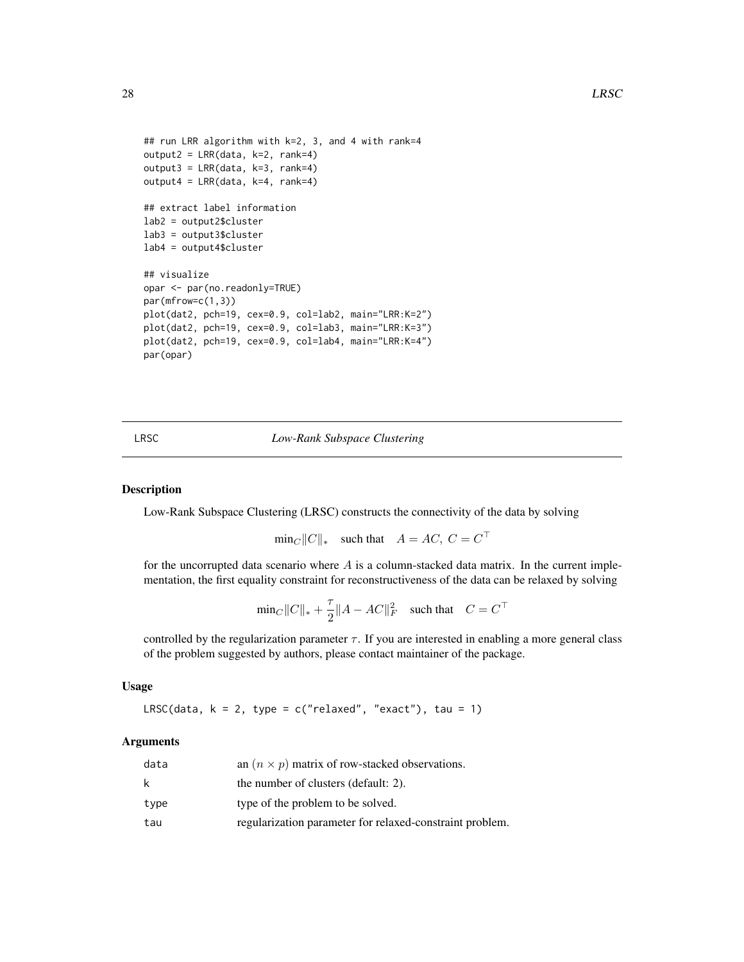```
## run LRR algorithm with k=2, 3, and 4 with rank=4
output2 = LRR(data, k=2, rank=4)
output3 = LRR(data, k=3, rank=4)output4 = LRR(data, k=4, rank=4)## extract label information
lab2 = output2$cluster
lab3 = output3$cluster
lab4 = output4$cluster
## visualize
opar <- par(no.readonly=TRUE)
par(mfrow=c(1,3))
plot(dat2, pch=19, cex=0.9, col=lab2, main="LRR:K=2")
plot(dat2, pch=19, cex=0.9, col=lab3, main="LRR:K=3")
plot(dat2, pch=19, cex=0.9, col=lab4, main="LRR:K=4")
par(opar)
```
LRSC *Low-Rank Subspace Clustering*

#### Description

Low-Rank Subspace Clustering (LRSC) constructs the connectivity of the data by solving

 $\min_C ||C||_*$  such that  $A = AC, C = C^{\top}$ 

for the uncorrupted data scenario where  $A$  is a column-stacked data matrix. In the current implementation, the first equality constraint for reconstructiveness of the data can be relaxed by solving

$$
\text{min}_C \|C\|_* + \frac{\tau}{2} \|A- AC\|_F^2 \quad \text{such that} \quad C = C^\top
$$

controlled by the regularization parameter  $\tau$ . If you are interested in enabling a more general class of the problem suggested by authors, please contact maintainer of the package.

#### Usage

LRSC(data,  $k = 2$ , type = c("relaxed", "exact"), tau = 1)

# Arguments

| data | an $(n \times p)$ matrix of row-stacked observations.    |
|------|----------------------------------------------------------|
| k.   | the number of clusters (default: 2).                     |
| type | type of the problem to be solved.                        |
| tau  | regularization parameter for relaxed-constraint problem. |

<span id="page-27-0"></span>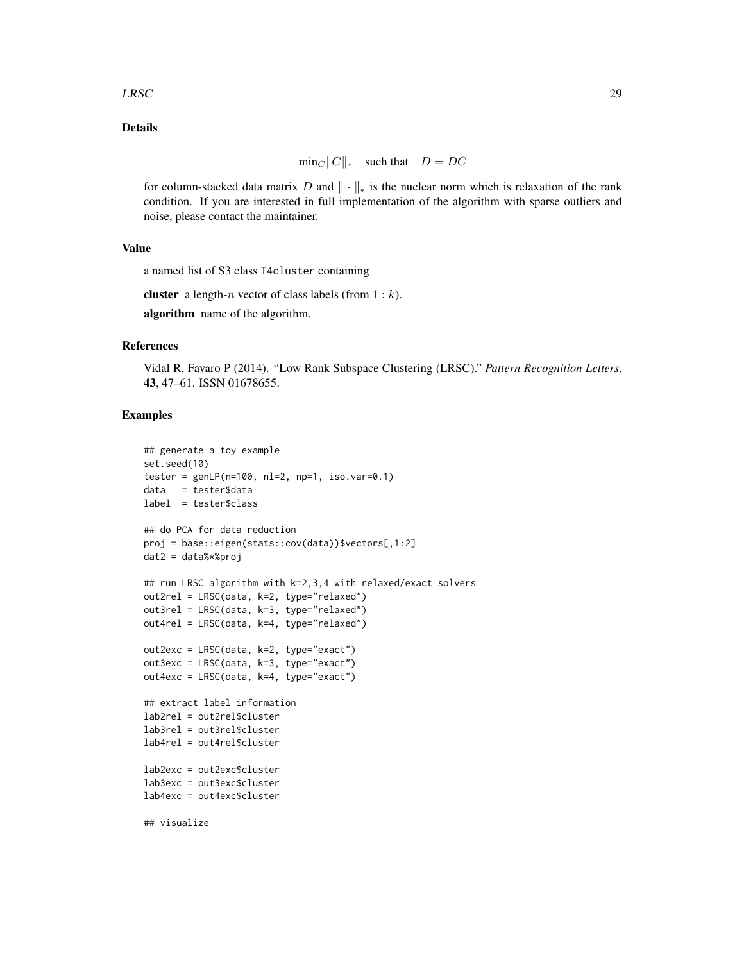#### $LRSC$  29

# Details

$$
min_C ||C||_* \quad such that \quad D = DC
$$

for column-stacked data matrix D and  $\|\cdot\|_*$  is the nuclear norm which is relaxation of the rank condition. If you are interested in full implementation of the algorithm with sparse outliers and noise, please contact the maintainer.

# Value

a named list of S3 class T4cluster containing

**cluster** a length-n vector of class labels (from  $1 : k$ ).

algorithm name of the algorithm.

#### References

Vidal R, Favaro P (2014). "Low Rank Subspace Clustering (LRSC)." *Pattern Recognition Letters*, 43, 47–61. ISSN 01678655.

```
## generate a toy example
set.seed(10)
tester = genLP(n=100, nl=2, np=1, iso.var=0.1)data = tester$data
label = tester$class
## do PCA for data reduction
proj = base::eigen(stats::cov(data))$vectors[,1:2]
dat2 = data%*%proj
## run LRSC algorithm with k=2,3,4 with relaxed/exact solvers
out2rel = LRSC(data, k=2, type="relaxed")
out3rel = LRSC(data, k=3, type="relaxed")
out4rel = LRSC(data, k=4, type="relaxed")
out2exc = LRSC(data, k=2, type="exact")
out3exc = LRSC(data, k=3, type="exact")
out4exc = LRSC(data, k=4, type="exact")
## extract label information
lab2rel = out2rel$cluster
lab3rel = out3rel$cluster
lab4rel = out4rel$cluster
lab2exc = out2exc$cluster
lab3exc = out3exc$cluster
lab4exc = out4exc$cluster
## visualize
```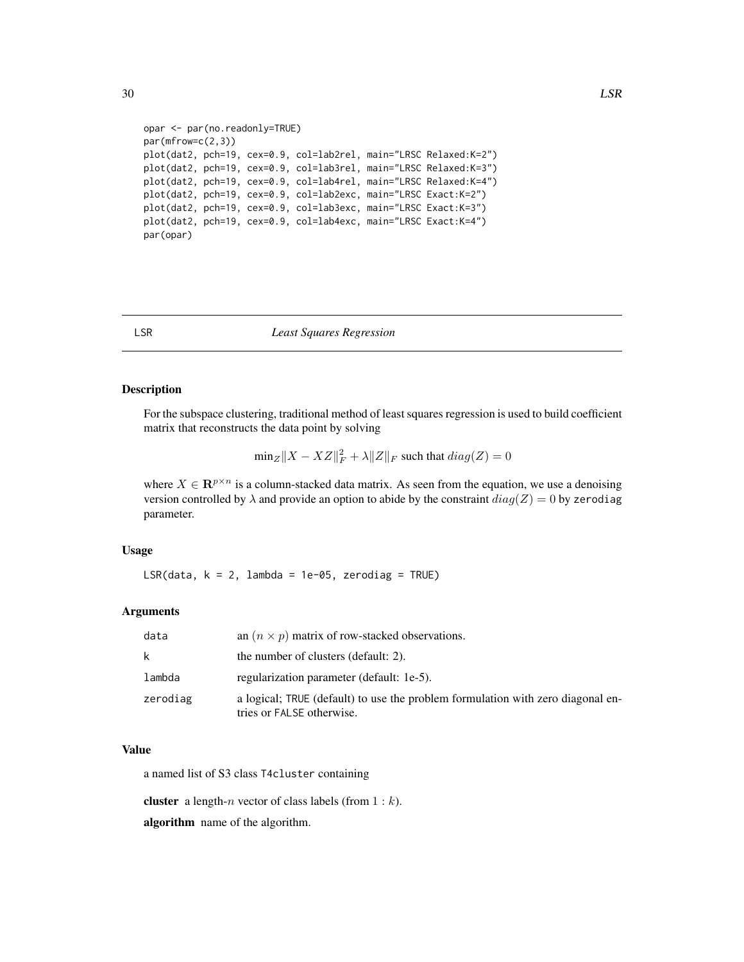```
opar <- par(no.readonly=TRUE)
par(mfrow=c(2,3))
plot(dat2, pch=19, cex=0.9, col=lab2rel, main="LRSC Relaxed:K=2")
plot(dat2, pch=19, cex=0.9, col=lab3rel, main="LRSC Relaxed:K=3")
plot(dat2, pch=19, cex=0.9, col=lab4rel, main="LRSC Relaxed:K=4")
plot(dat2, pch=19, cex=0.9, col=lab2exc, main="LRSC Exact:K=2")
plot(dat2, pch=19, cex=0.9, col=lab3exc, main="LRSC Exact:K=3")
plot(dat2, pch=19, cex=0.9, col=lab4exc, main="LRSC Exact:K=4")
par(opar)
```
#### LSR *Least Squares Regression*

#### Description

For the subspace clustering, traditional method of least squares regression is used to build coefficient matrix that reconstructs the data point by solving

$$
\text{min}_Z\|X-XZ\|_F^2+\lambda\|Z\|_F\text{ such that }diag(Z)=0
$$

where  $X \in \mathbb{R}^{p \times n}$  is a column-stacked data matrix. As seen from the equation, we use a denoising version controlled by  $\lambda$  and provide an option to abide by the constraint  $diag(Z) = 0$  by zerodiag parameter.

#### Usage

LSR(data,  $k = 2$ , lambda = 1e-05, zerodiag = TRUE)

#### Arguments

| data     | an $(n \times p)$ matrix of row-stacked observations.                                                        |
|----------|--------------------------------------------------------------------------------------------------------------|
| k        | the number of clusters (default: 2).                                                                         |
| lambda   | regularization parameter (default: 1e-5).                                                                    |
| zerodiag | a logical; TRUE (default) to use the problem formulation with zero diagonal en-<br>tries or FALSE otherwise. |

# Value

a named list of S3 class T4cluster containing

cluster a length-n vector of class labels (from  $1 : k$ ).

algorithm name of the algorithm.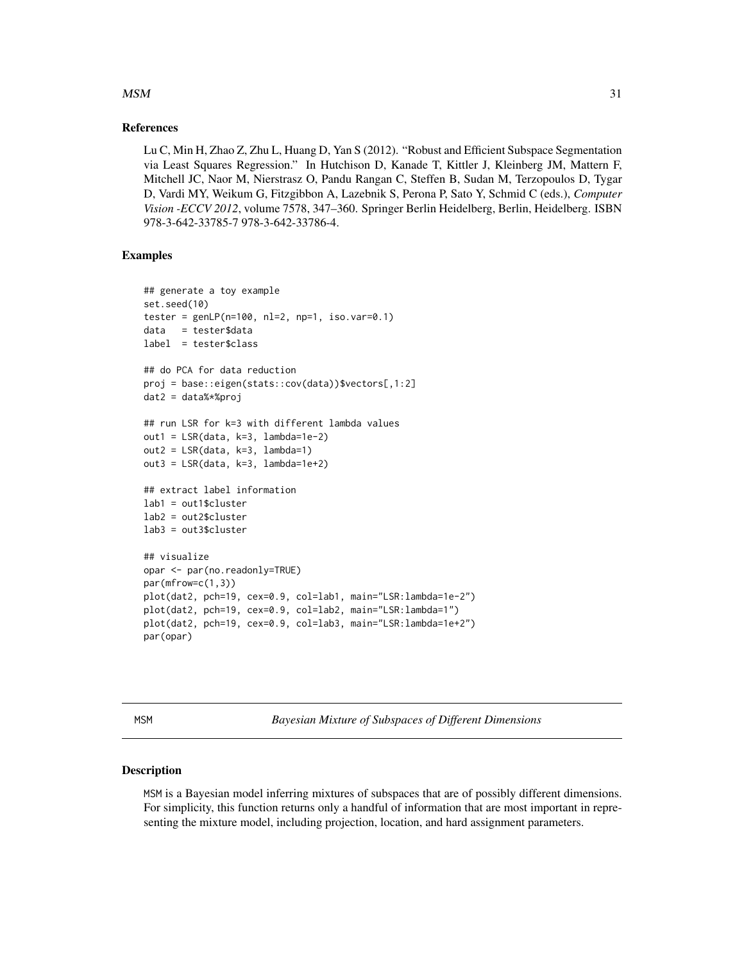#### <span id="page-30-0"></span> $MSM$  31

#### References

Lu C, Min H, Zhao Z, Zhu L, Huang D, Yan S (2012). "Robust and Efficient Subspace Segmentation via Least Squares Regression." In Hutchison D, Kanade T, Kittler J, Kleinberg JM, Mattern F, Mitchell JC, Naor M, Nierstrasz O, Pandu Rangan C, Steffen B, Sudan M, Terzopoulos D, Tygar D, Vardi MY, Weikum G, Fitzgibbon A, Lazebnik S, Perona P, Sato Y, Schmid C (eds.), *Computer Vision -ECCV 2012*, volume 7578, 347–360. Springer Berlin Heidelberg, Berlin, Heidelberg. ISBN 978-3-642-33785-7 978-3-642-33786-4.

# Examples

```
## generate a toy example
set.seed(10)
tester = genLP(n=100, nl=2, np=1, iso-var=0.1)data = tester$data
label = tester$class
## do PCA for data reduction
proj = base::eigen(stats::cov(data))$vectors[,1:2]
dat2 = data%*%proj
## run LSR for k=3 with different lambda values
out1 = LSR(data, k=3, lambda=1e-2)out2 = LSR(data, k=3, lambda=1)
out3 = LSR(data, k=3, lambda=1e+2)
## extract label information
lab1 = out1$cluster
lab2 = out2$cluster
lab3 = out3$cluster
## visualize
opar <- par(no.readonly=TRUE)
par(mfrow=c(1,3))
plot(dat2, pch=19, cex=0.9, col=lab1, main="LSR:lambda=1e-2")
plot(dat2, pch=19, cex=0.9, col=lab2, main="LSR:lambda=1")
plot(dat2, pch=19, cex=0.9, col=lab3, main="LSR:lambda=1e+2")
par(opar)
```
<span id="page-30-1"></span>

MSM *Bayesian Mixture of Subspaces of Different Dimensions*

#### Description

MSM is a Bayesian model inferring mixtures of subspaces that are of possibly different dimensions. For simplicity, this function returns only a handful of information that are most important in representing the mixture model, including projection, location, and hard assignment parameters.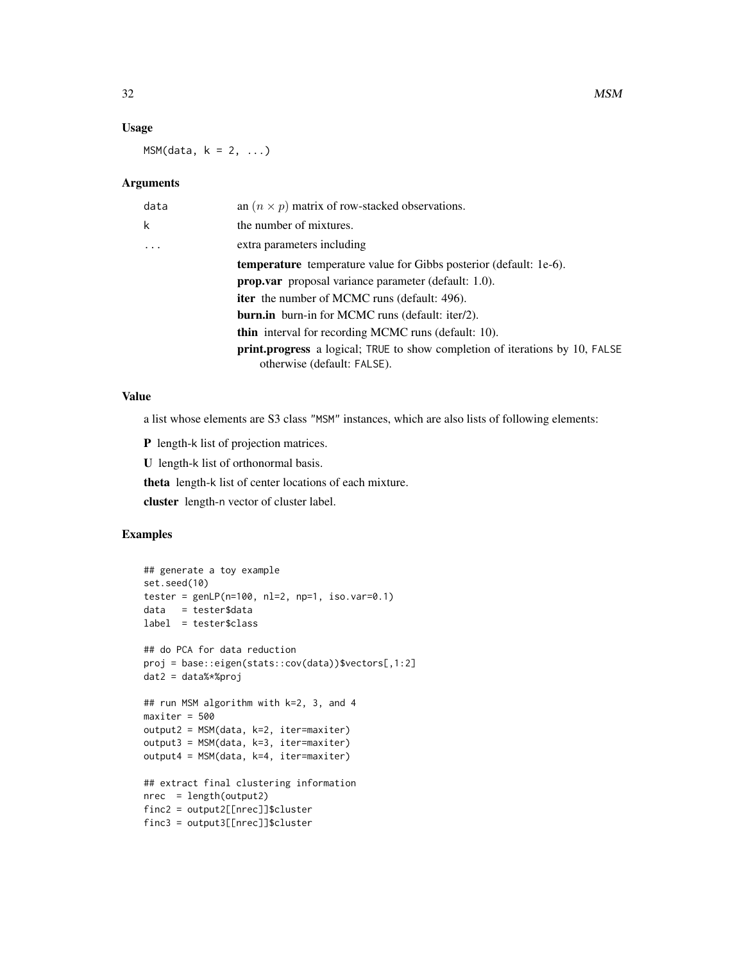### Usage

 $MSM(data, k = 2, ...)$ 

#### Arguments

| data     | an $(n \times p)$ matrix of row-stacked observations.                                                              |
|----------|--------------------------------------------------------------------------------------------------------------------|
| k        | the number of mixtures.                                                                                            |
| $\ddots$ | extra parameters including                                                                                         |
|          | <b>temperature</b> temperature value for Gibbs posterior (default: 1e-6).                                          |
|          | <b>prop.var</b> proposal variance parameter (default: 1.0).                                                        |
|          | <b>iter</b> the number of MCMC runs (default: 496).                                                                |
|          | <b>burn.in</b> burn-in for MCMC runs (default: iter/2).                                                            |
|          | <b>thin</b> interval for recording MCMC runs (default: 10).                                                        |
|          | <b>print.progress</b> a logical; TRUE to show completion of iterations by 10, FALSE<br>otherwise (default: FALSE). |

# Value

a list whose elements are S3 class "MSM" instances, which are also lists of following elements:

P length-k list of projection matrices.

U length-k list of orthonormal basis.

theta length-k list of center locations of each mixture.

cluster length-n vector of cluster label.

```
## generate a toy example
set.seed(10)
tester = genLP(n=100, nl=2, np=1, iso.var=0.1)data = tester$data
label = tester$class
## do PCA for data reduction
proj = base::eigen(stats::cov(data))$vectors[,1:2]
dat2 = data%*%proj
## run MSM algorithm with k=2, 3, and 4
maxiter = 500
output2 = MSM(data, k=2, iter=maxiter)
output3 = MSM(data, k=3, iter=maxiter)
output4 = MSM(data, k=4, iter=maxiter)
## extract final clustering information
nrec = length(output2)
finc2 = output2[[nrec]]$cluster
finc3 = output3[[nrec]]$cluster
```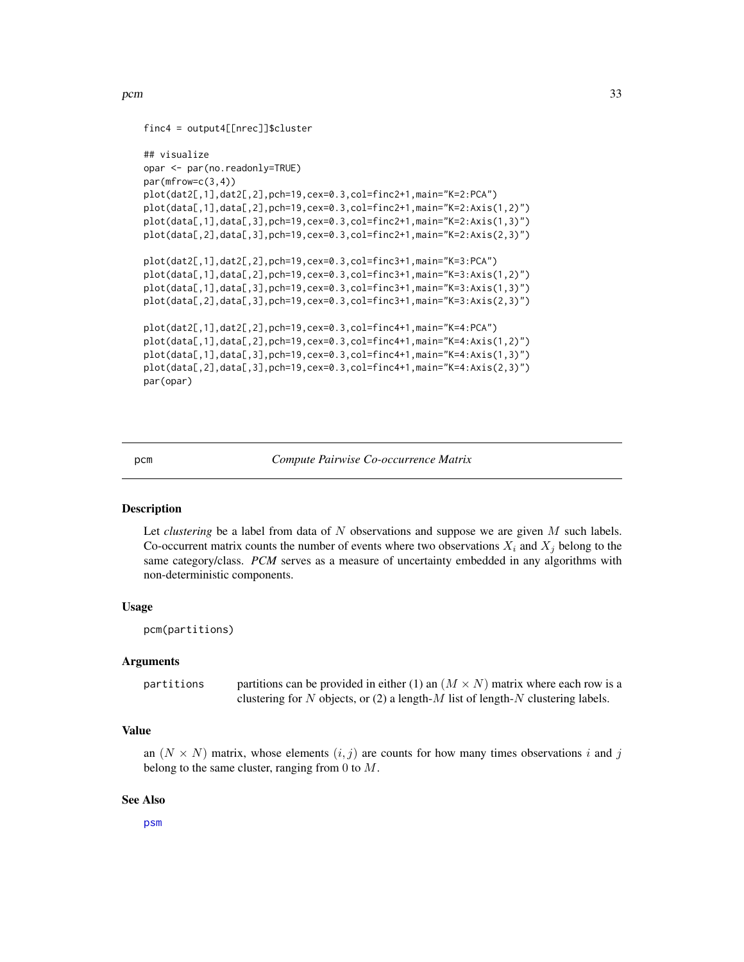```
finc4 = output4[[nrec]]$cluster
```

```
## visualize
opar <- par(no.readonly=TRUE)
par(mfrow=c(3,4))
plot(dat2[,1],dat2[,2],pch=19,cex=0.3,col=finc2+1,main="K=2:PCA")
plot(data[,1],data[,2],pch=19,cex=0.3,col=finc2+1,main="K=2:Axis(1,2)")
plot(data[,1],data[,3],pch=19,cex=0.3,col=finc2+1,main="K=2:Axis(1,3)")
plot(data[,2],data[,3],pch=19,cex=0.3,col=finc2+1,main="K=2:Axis(2,3)")
plot(dat2[,1],dat2[,2],pch=19,cex=0.3,col=finc3+1,main="K=3:PCA")
plot(data[,1],data[,2],pch=19,cex=0.3,col=finc3+1,main="K=3:Axis(1,2)")
plot(data[,1],data[,3],pch=19,cex=0.3,col=finc3+1,main="K=3:Axis(1,3)")
plot(data[,2],data[,3],pch=19,cex=0.3,col=finc3+1,main="K=3:Axis(2,3)")
plot(dat2[,1],dat2[,2],pch=19,cex=0.3,col=finc4+1,main="K=4:PCA")
plot(data[,1],data[,2],pch=19,cex=0.3,col=finc4+1,main="K=4:Axis(1,2)")
plot(data[,1],data[,3],pch=19,cex=0.3,col=finc4+1,main="K=4:Axis(1,3)")
plot(data[,2],data[,3],pch=19,cex=0.3,col=finc4+1,main="K=4:Axis(2,3)")
par(opar)
```
<span id="page-32-1"></span>pcm *Compute Pairwise Co-occurrence Matrix*

#### **Description**

Let *clustering* be a label from data of N observations and suppose we are given M such labels. Co-occurrent matrix counts the number of events where two observations  $X_i$  and  $X_j$  belong to the same category/class. PCM serves as a measure of uncertainty embedded in any algorithms with non-deterministic components.

#### Usage

pcm(partitions)

#### Arguments

partitions partitions can be provided in either (1) an  $(M \times N)$  matrix where each row is a clustering for N objects, or (2) a length-M list of length-N clustering labels.

#### Value

an  $(N \times N)$  matrix, whose elements  $(i, j)$  are counts for how many times observations i and j belong to the same cluster, ranging from 0 to  $M$ .

#### See Also

[psm](#page-34-1)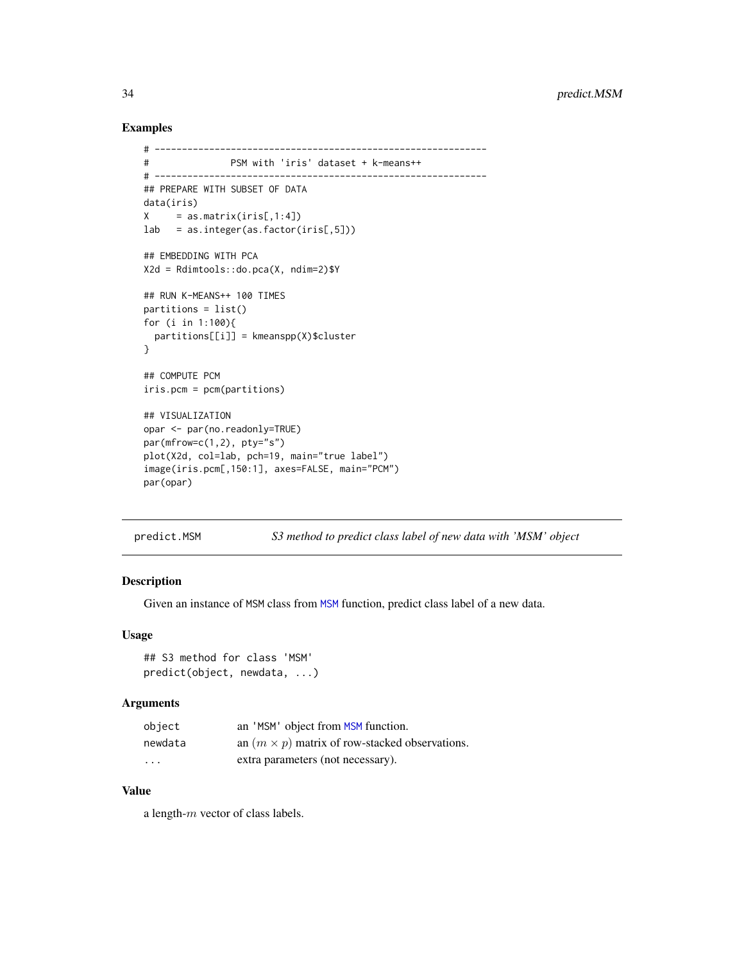## Examples

```
# -------------------------------------------------------------
# PSM with 'iris' dataset + k-means++
# -------------------------------------------------------------
## PREPARE WITH SUBSET OF DATA
data(iris)
X = as.matrix(iris[,1:4])lab = as.integer(as.factor(iris[,5]))
## EMBEDDING WITH PCA
X2d = Rdimtools::do.pca(X, ndim=2)$Y
## RUN K-MEANS++ 100 TIMES
partitions = list()
for (i in 1:100){
 partitions[[i]] = kmeanspp(X)$cluster
}
## COMPUTE PCM
iris.pcm = pcm(partitions)
## VISUALIZATION
opar <- par(no.readonly=TRUE)
par(mfrow=c(1,2), pty="s")plot(X2d, col=lab, pch=19, main="true label")
image(iris.pcm[,150:1], axes=FALSE, main="PCM")
par(opar)
```
predict.MSM *S3 method to predict class label of new data with 'MSM' object*

# Description

Given an instance of MSM class from [MSM](#page-30-1) function, predict class label of a new data.

#### Usage

```
## S3 method for class 'MSM'
predict(object, newdata, ...)
```
# Arguments

| object                  | an 'MSM' object from MSM function.                    |
|-------------------------|-------------------------------------------------------|
| newdata                 | an $(m \times p)$ matrix of row-stacked observations. |
| $\cdot$ $\cdot$ $\cdot$ | extra parameters (not necessary).                     |

#### Value

a length-m vector of class labels.

<span id="page-33-0"></span>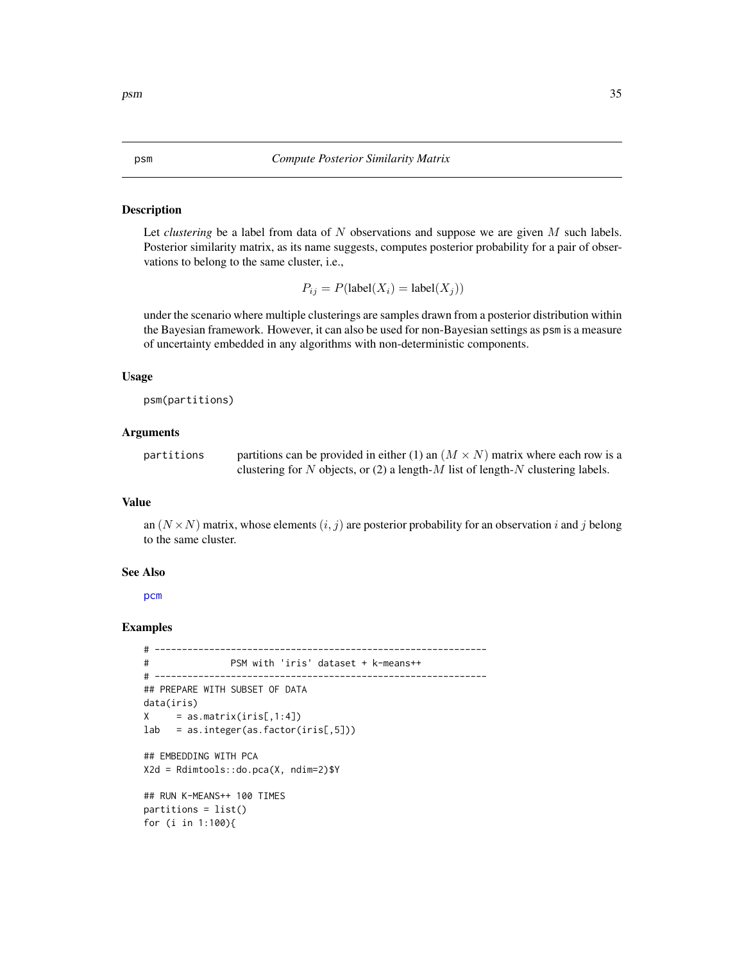#### <span id="page-34-1"></span><span id="page-34-0"></span>Description

Let *clustering* be a label from data of N observations and suppose we are given M such labels. Posterior similarity matrix, as its name suggests, computes posterior probability for a pair of observations to belong to the same cluster, i.e.,

 $P_{ij} = P(\text{label}(X_i) = \text{label}(X_j))$ 

under the scenario where multiple clusterings are samples drawn from a posterior distribution within the Bayesian framework. However, it can also be used for non-Bayesian settings as psm is a measure of uncertainty embedded in any algorithms with non-deterministic components.

#### Usage

psm(partitions)

#### Arguments

| partitions | partitions can be provided in either (1) an $(M \times N)$ matrix where each row is a |
|------------|---------------------------------------------------------------------------------------|
|            | clustering for N objects, or (2) a length- $M$ list of length- $N$ clustering labels. |

#### Value

an  $(N \times N)$  matrix, whose elements  $(i, j)$  are posterior probability for an observation i and j belong to the same cluster.

#### See Also

[pcm](#page-32-1)

```
# -------------------------------------------------------------
# PSM with 'iris' dataset + k-means++
# -------------------------------------------------------------
## PREPARE WITH SUBSET OF DATA
data(iris)
X = as.matrix(iris[,1:4])lab = as.integer(as.factor(iris[,5]))
## EMBEDDING WITH PCA
X2d = Rdimtools::do.pca(X, ndim=2)$Y
## RUN K-MEANS++ 100 TIMES
partitions = list()
for (i in 1:100){
```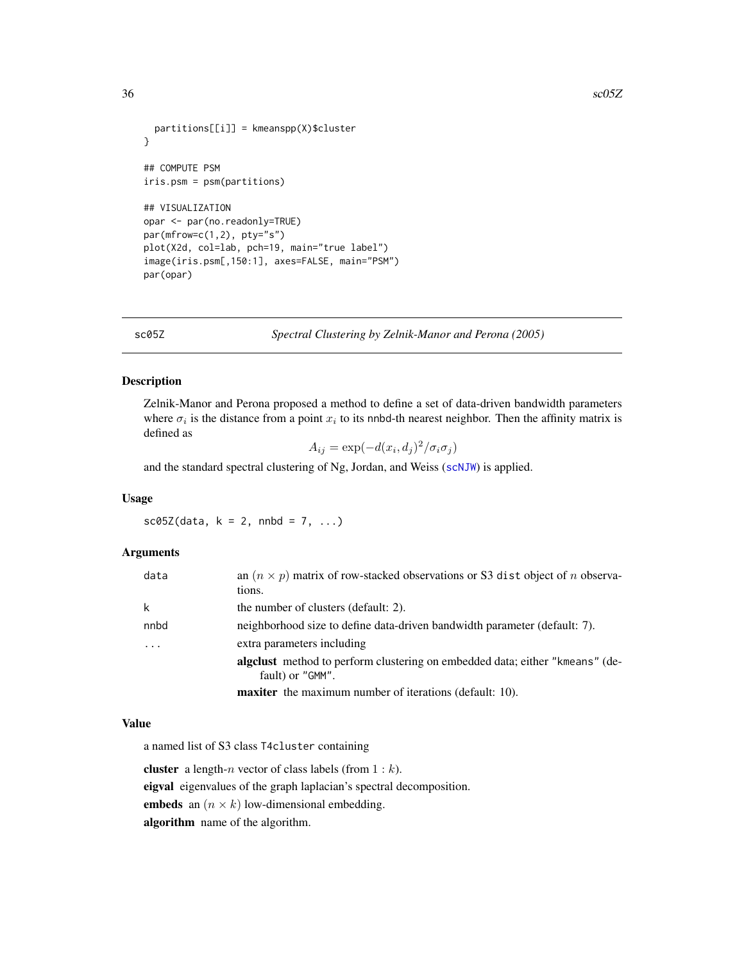```
partitions[[i]] = kmeanspp(X)$cluster
}
## COMPUTE PSM
iris.psm = psm(partitions)
## VISUALIZATION
opar <- par(no.readonly=TRUE)
par(mfrow=c(1,2), pty="s")
plot(X2d, col=lab, pch=19, main="true label")
image(iris.psm[,150:1], axes=FALSE, main="PSM")
par(opar)
```
sc05Z *Spectral Clustering by Zelnik-Manor and Perona (2005)*

#### Description

Zelnik-Manor and Perona proposed a method to define a set of data-driven bandwidth parameters where  $\sigma_i$  is the distance from a point  $x_i$  to its nnbd-th nearest neighbor. Then the affinity matrix is defined as

 $A_{ij} = \exp(-d(x_i, d_j)^2 / \sigma_i \sigma_j)$ 

and the standard spectral clustering of Ng, Jordan, and Weiss ([scNJW](#page-42-1)) is applied.

#### Usage

 $sc05Z(data, k = 2, nnbd = 7, ...)$ 

#### Arguments

| data | an $(n \times p)$ matrix of row-stacked observations or S3 dist object of <i>n</i> observa-<br>tions. |
|------|-------------------------------------------------------------------------------------------------------|
| k    | the number of clusters (default: 2).                                                                  |
| nnbd | neighborhood size to define data-driven bandwidth parameter (default: 7).                             |
|      | extra parameters including                                                                            |
|      | algelust method to perform clustering on embedded data; either "kmeans" (de-<br>fault) or "GMM".      |
|      | <b>maxiter</b> the maximum number of iterations (default: 10).                                        |

#### Value

a named list of S3 class T4cluster containing

**cluster** a length-*n* vector of class labels (from  $1 : k$ ). eigval eigenvalues of the graph laplacian's spectral decomposition.

embeds an  $(n \times k)$  low-dimensional embedding.

algorithm name of the algorithm.

<span id="page-35-0"></span>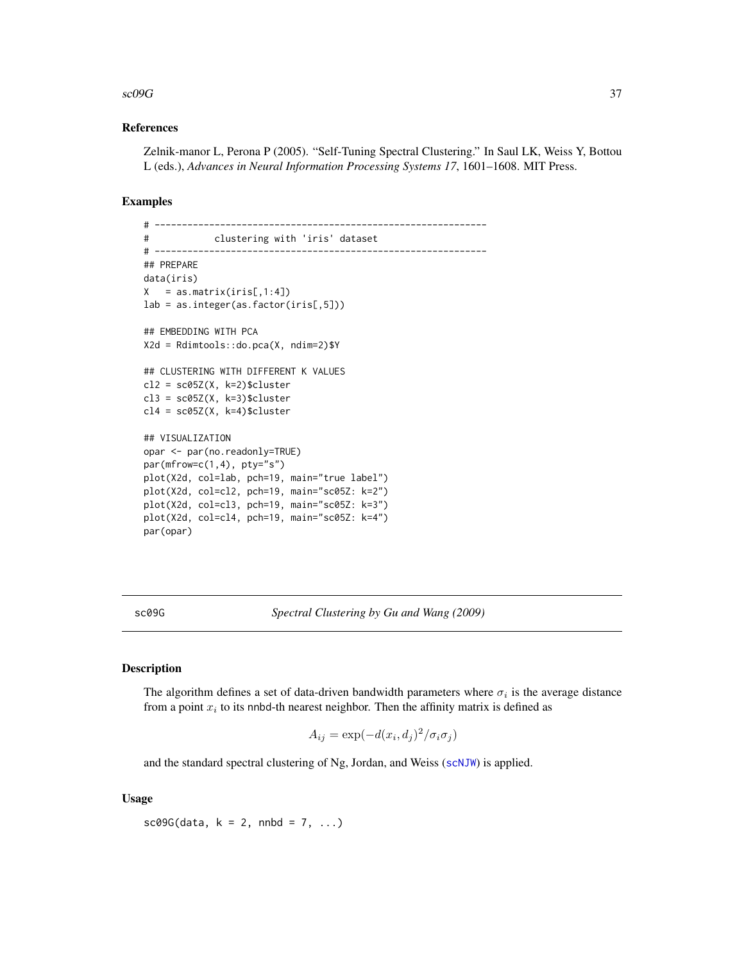#### <span id="page-36-0"></span> $\sim$  sc09G  $\sim$  37

#### References

Zelnik-manor L, Perona P (2005). "Self-Tuning Spectral Clustering." In Saul LK, Weiss Y, Bottou L (eds.), *Advances in Neural Information Processing Systems 17*, 1601–1608. MIT Press.

#### Examples

```
# -------------------------------------------------------------
# clustering with 'iris' dataset
# -------------------------------------------------------------
## PREPARE
data(iris)
X = as_matrix(iris[,1:4])lab = as.integer(as.factor(iris[,5]))
## EMBEDDING WITH PCA
X2d = Rdimtools::do.pca(X, ndim=2)$Y
## CLUSTERING WITH DIFFERENT K VALUES
cl2 = sc05Z(X, k=2)$cluster
cl3 = sc05Z(X, k=3)$cluster
cl4 = sc05Z(X, k=4)$cluster
## VISUALIZATION
opar <- par(no.readonly=TRUE)
par(mfrow=c(1,4), pty="s")plot(X2d, col=lab, pch=19, main="true label")
plot(X2d, col=cl2, pch=19, main="sc05Z: k=2")
plot(X2d, col=cl3, pch=19, main="sc05Z: k=3")
plot(X2d, col=cl4, pch=19, main="sc05Z: k=4")
par(opar)
```
sc09G *Spectral Clustering by Gu and Wang (2009)*

# Description

The algorithm defines a set of data-driven bandwidth parameters where  $\sigma_i$  is the average distance from a point  $x_i$  to its nnbd-th nearest neighbor. Then the affinity matrix is defined as

$$
A_{ij} = \exp(-d(x_i, d_j)^2 / \sigma_i \sigma_j)
$$

and the standard spectral clustering of Ng, Jordan, and Weiss ([scNJW](#page-42-1)) is applied.

#### Usage

 $sc09G(data, k = 2, nnbd = 7, ...)$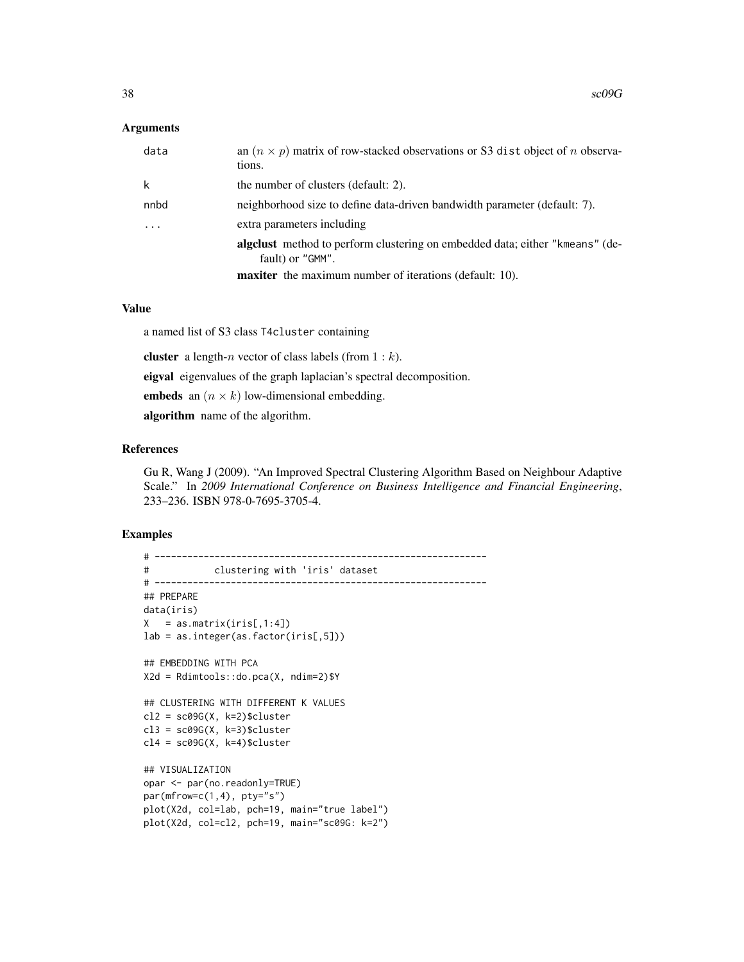#### **Arguments**

| data      | an $(n \times p)$ matrix of row-stacked observations or S3 dist object of <i>n</i> observa-<br>tions. |
|-----------|-------------------------------------------------------------------------------------------------------|
| k         | the number of clusters (default: 2).                                                                  |
| nnbd      | neighborhood size to define data-driven bandwidth parameter (default: 7).                             |
| $\ddotsc$ | extra parameters including                                                                            |
|           | algelust method to perform clustering on embedded data; either "kmeans" (de-<br>fault) or "GMM".      |
|           | <b>maxiter</b> the maximum number of iterations (default: 10).                                        |

#### Value

a named list of S3 class T4cluster containing

**cluster** a length-*n* vector of class labels (from  $1 : k$ ).

eigval eigenvalues of the graph laplacian's spectral decomposition.

embeds an  $(n \times k)$  low-dimensional embedding.

algorithm name of the algorithm.

## References

Gu R, Wang J (2009). "An Improved Spectral Clustering Algorithm Based on Neighbour Adaptive Scale." In *2009 International Conference on Business Intelligence and Financial Engineering*, 233–236. ISBN 978-0-7695-3705-4.

```
# -------------------------------------------------------------
# clustering with 'iris' dataset
# -------------------------------------------------------------
## PREPARE
data(iris)
X = as_matrix(iris[,1:4])lab = as.integer(as.factor(iris[,5]))
## EMBEDDING WITH PCA
X2d = Rdimtools::do.pca(X, ndim=2)$Y
## CLUSTERING WITH DIFFERENT K VALUES
cl2 = sc09G(X, k=2)$cluster
cl3 = sc09G(X, k=3)$cluster
cl4 = sc09G(X, k=4)$cluster
## VISUALIZATION
opar <- par(no.readonly=TRUE)
par(mfrow=c(1,4), pty="s")plot(X2d, col=lab, pch=19, main="true label")
plot(X2d, col=cl2, pch=19, main="sc09G: k=2")
```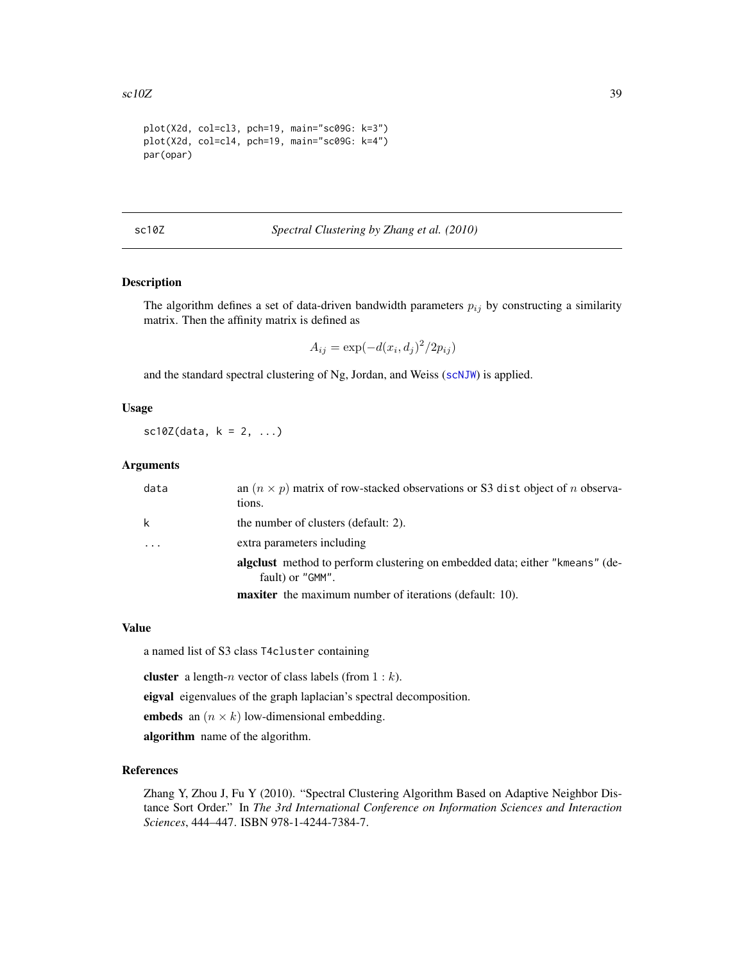```
plot(X2d, col=cl3, pch=19, main="sc09G: k=3")
plot(X2d, col=cl4, pch=19, main="sc09G: k=4")
par(opar)
```
sc10Z *Spectral Clustering by Zhang et al. (2010)*

## Description

The algorithm defines a set of data-driven bandwidth parameters  $p_{ij}$  by constructing a similarity matrix. Then the affinity matrix is defined as

$$
A_{ij} = \exp(-d(x_i, d_j)^2/2p_{ij})
$$

and the standard spectral clustering of Ng, Jordan, and Weiss ([scNJW](#page-42-1)) is applied.

# Usage

 $sc10Z(data, k = 2, ...)$ 

#### Arguments

| data | an $(n \times p)$ matrix of row-stacked observations or S3 dist object of <i>n</i> observa-<br>tions. |
|------|-------------------------------------------------------------------------------------------------------|
| k    | the number of clusters (default: 2).                                                                  |
|      | extra parameters including                                                                            |
|      | algeblack method to perform clustering on embedded data; either "kmeans" (de-<br>fault) or "GMM".     |
|      | <b>maxiter</b> the maximum number of iterations (default: 10).                                        |

#### Value

a named list of S3 class T4cluster containing

**cluster** a length-*n* vector of class labels (from  $1 : k$ ).

eigval eigenvalues of the graph laplacian's spectral decomposition.

embeds an  $(n \times k)$  low-dimensional embedding.

algorithm name of the algorithm.

#### References

Zhang Y, Zhou J, Fu Y (2010). "Spectral Clustering Algorithm Based on Adaptive Neighbor Distance Sort Order." In *The 3rd International Conference on Information Sciences and Interaction Sciences*, 444–447. ISBN 978-1-4244-7384-7.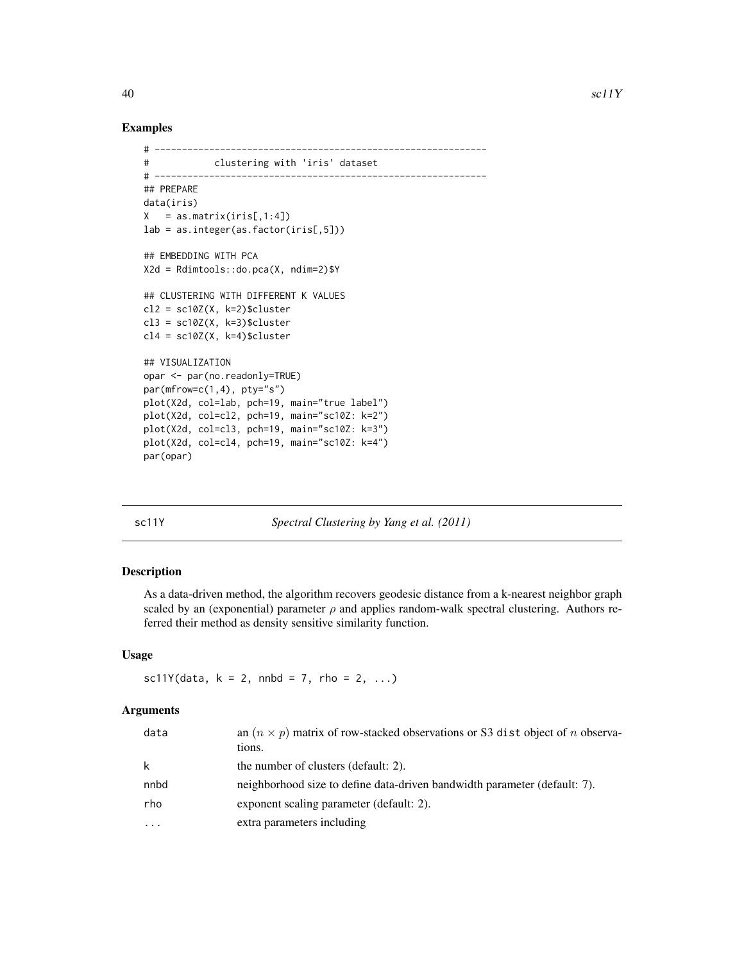#### Examples

```
# -------------------------------------------------------------
# clustering with 'iris' dataset
# -------------------------------------------------------------
## PREPARE
data(iris)
X = as_matrix(iris[,1:4])lab = as.integer(as.factor(iris[,5]))
## EMBEDDING WITH PCA
X2d = Rdimtools::do.pca(X, ndim=2)$Y
## CLUSTERING WITH DIFFERENT K VALUES
cl2 = sc10Z(X, k=2)$cluster
cl3 = sc10Z(X, k=3)$cluster
cl4 = sc10Z(X, k=4)$cluster
## VISUALIZATION
opar <- par(no.readonly=TRUE)
par(mfrow=c(1,4), pty="s")plot(X2d, col=lab, pch=19, main="true label")
plot(X2d, col=cl2, pch=19, main="sc10Z: k=2")
plot(X2d, col=cl3, pch=19, main="sc10Z: k=3")
plot(X2d, col=cl4, pch=19, main="sc10Z: k=4")
par(opar)
```
sc11Y *Spectral Clustering by Yang et al. (2011)*

# Description

As a data-driven method, the algorithm recovers geodesic distance from a k-nearest neighbor graph scaled by an (exponential) parameter  $\rho$  and applies random-walk spectral clustering. Authors referred their method as density sensitive similarity function.

# Usage

 $sc11Y(data, k = 2, nnbd = 7, rho = 2, ...)$ 

#### Arguments

| data     | an $(n \times p)$ matrix of row-stacked observations or S3 dist object of <i>n</i> observa-<br>tions. |
|----------|-------------------------------------------------------------------------------------------------------|
| k        | the number of clusters (default: 2).                                                                  |
| nnbd     | neighborhood size to define data-driven bandwidth parameter (default: 7).                             |
| rho      | exponent scaling parameter (default: 2).                                                              |
| $\cdots$ | extra parameters including                                                                            |

<span id="page-39-0"></span>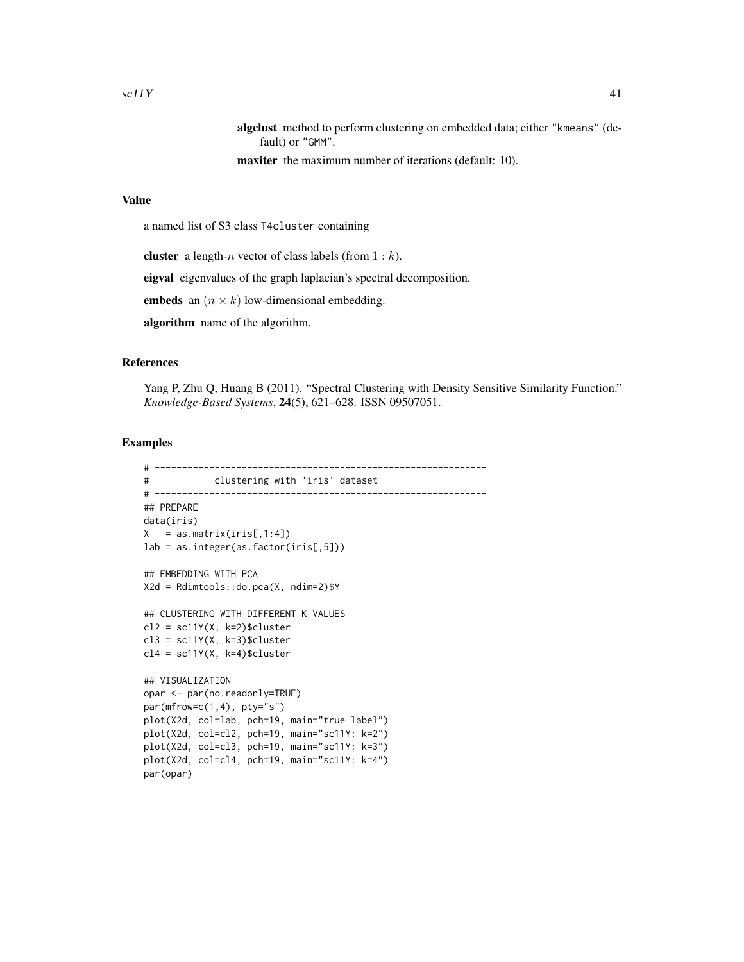```
algclust method to perform clustering on embedded data; either "kmeans" (de-
    fault) or "GMM".
```
maxiter the maximum number of iterations (default: 10).

#### Value

a named list of S3 class T4cluster containing

**cluster** a length-*n* vector of class labels (from  $1 : k$ ).

eigval eigenvalues of the graph laplacian's spectral decomposition.

embeds an  $(n \times k)$  low-dimensional embedding.

algorithm name of the algorithm.

#### References

Yang P, Zhu Q, Huang B (2011). "Spectral Clustering with Density Sensitive Similarity Function." *Knowledge-Based Systems*, 24(5), 621–628. ISSN 09507051.

```
# -------------------------------------------------------------
# clustering with 'iris' dataset
# -------------------------------------------------------------
## PREPARE
data(iris)
X = as_matrix(iris[,1:4])lab = as.integer(as.factor(iris[,5]))
## EMBEDDING WITH PCA
X2d = Rdimtools::do.pca(X, ndim=2)$Y
## CLUSTERING WITH DIFFERENT K VALUES
cl2 = sc11Y(X, k=2)$cluster
cl3 = sc11Y(X, k=3)$cluster
cl4 = sc11Y(X, k=4)$cluster
## VISUALIZATION
opar <- par(no.readonly=TRUE)
par(mfrow=c(1,4), pty="s")
plot(X2d, col=lab, pch=19, main="true label")
plot(X2d, col=cl2, pch=19, main="sc11Y: k=2")
plot(X2d, col=cl3, pch=19, main="sc11Y: k=3")
plot(X2d, col=cl4, pch=19, main="sc11Y: k=4")
par(opar)
```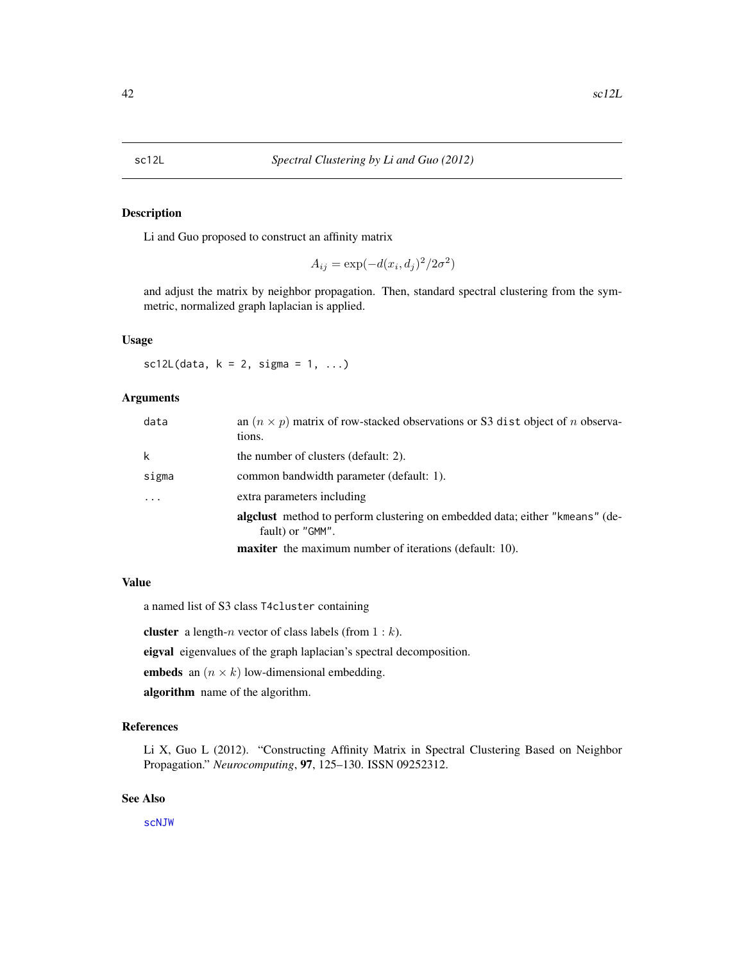# <span id="page-41-0"></span>Description

Li and Guo proposed to construct an affinity matrix

$$
A_{ij} = \exp(-d(x_i, d_j)^2 / 2\sigma^2)
$$

and adjust the matrix by neighbor propagation. Then, standard spectral clustering from the symmetric, normalized graph laplacian is applied.

# Usage

 $sc12L(data, k = 2, sigma = 1, ...)$ 

#### Arguments

| data  | an $(n \times p)$ matrix of row-stacked observations or S3 dist object of <i>n</i> observa-<br>tions. |
|-------|-------------------------------------------------------------------------------------------------------|
| k     | the number of clusters (default: 2).                                                                  |
| sigma | common bandwidth parameter (default: 1).                                                              |
| .     | extra parameters including                                                                            |
|       | algeblack method to perform clustering on embedded data; either "kmeans" (de-<br>fault) or "GMM".     |
|       | <b>maxiter</b> the maximum number of iterations (default: 10).                                        |

#### Value

a named list of S3 class T4cluster containing

**cluster** a length-*n* vector of class labels (from  $1 : k$ ).

eigval eigenvalues of the graph laplacian's spectral decomposition.

embeds an  $(n \times k)$  low-dimensional embedding.

algorithm name of the algorithm.

# References

Li X, Guo L (2012). "Constructing Affinity Matrix in Spectral Clustering Based on Neighbor Propagation." *Neurocomputing*, 97, 125–130. ISSN 09252312.

#### See Also

[scNJW](#page-42-1)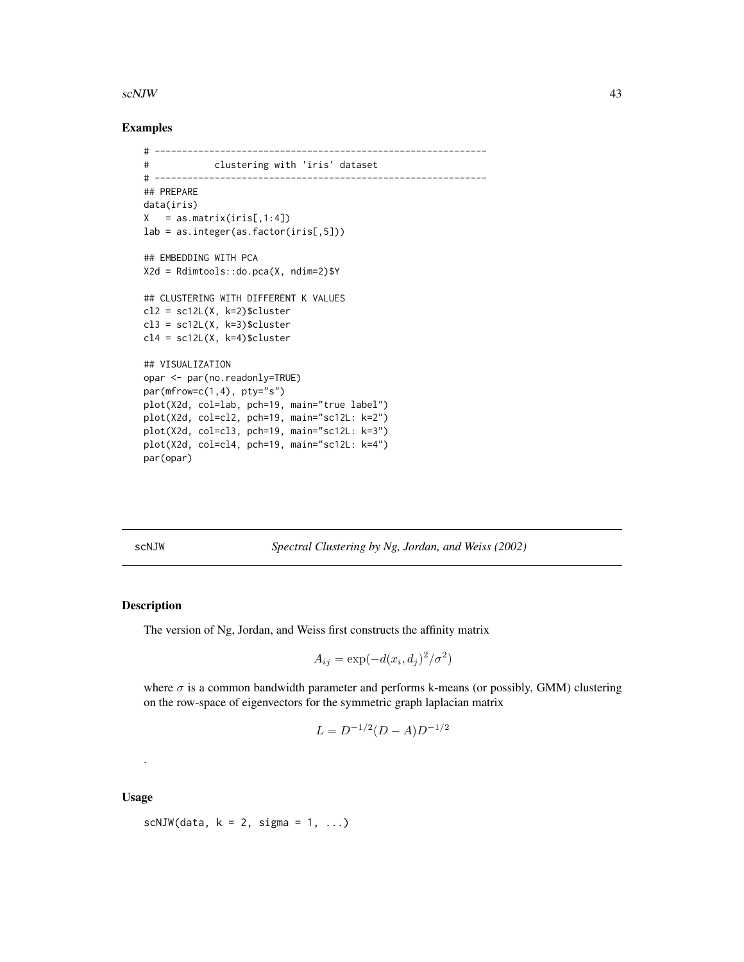#### <span id="page-42-0"></span>scNJW 43

#### Examples

```
# -------------------------------------------------------------
# clustering with 'iris' dataset
# -------------------------------------------------------------
## PREPARE
data(iris)
X = as_matrix(iris[, 1:4])lab = as.integer(as.factor(iris[,5]))
## EMBEDDING WITH PCA
X2d = Rdimtools::do.pca(X, ndim=2)$Y
## CLUSTERING WITH DIFFERENT K VALUES
cl2 = sc12L(X, k=2)$cluster
cl3 = sc12L(X, k=3)$cluster
cl4 = sc12L(X, k=4)$cluster
## VISUALIZATION
opar <- par(no.readonly=TRUE)
par(mfrow=c(1,4), pty="s")plot(X2d, col=lab, pch=19, main="true label")
plot(X2d, col=cl2, pch=19, main="sc12L: k=2")
plot(X2d, col=cl3, pch=19, main="sc12L: k=3")
plot(X2d, col=cl4, pch=19, main="sc12L: k=4")
par(opar)
```
<span id="page-42-1"></span>scNJW *Spectral Clustering by Ng, Jordan, and Weiss (2002)*

#### Description

The version of Ng, Jordan, and Weiss first constructs the affinity matrix

$$
A_{ij} = \exp(-d(x_i, d_j)^2 / \sigma^2)
$$

where  $\sigma$  is a common bandwidth parameter and performs k-means (or possibly, GMM) clustering on the row-space of eigenvectors for the symmetric graph laplacian matrix

$$
L = D^{-1/2}(D - A)D^{-1/2}
$$

Usage

.

```
scNJW(data, k = 2, sigma = 1, ...)
```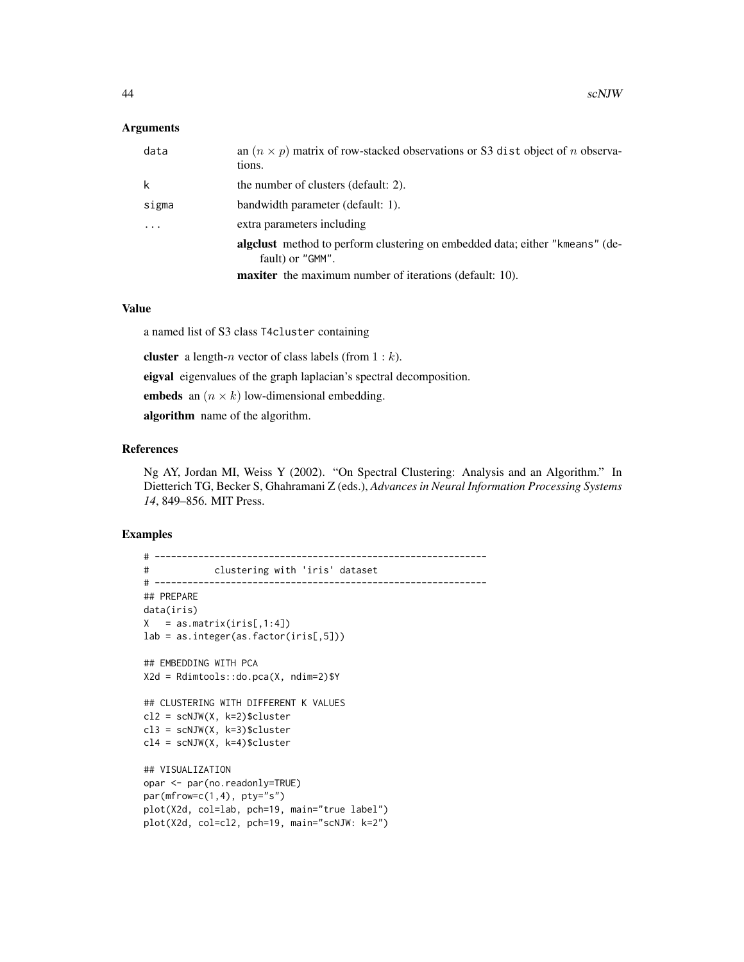#### **Arguments**

| data     | an $(n \times p)$ matrix of row-stacked observations or S3 dist object of <i>n</i> observa-<br>tions.          |
|----------|----------------------------------------------------------------------------------------------------------------|
| k        | the number of clusters (default: 2).                                                                           |
| sigma    | bandwidth parameter (default: 1).                                                                              |
| $\cdots$ | extra parameters including                                                                                     |
|          | algeblacktriangleright method to perform clustering on embedded data; either "kmeans" (de-<br>fault) or "GMM". |
|          | <b>maxiter</b> the maximum number of iterations (default: 10).                                                 |

#### Value

a named list of S3 class T4cluster containing

**cluster** a length-*n* vector of class labels (from  $1 : k$ ).

eigval eigenvalues of the graph laplacian's spectral decomposition.

embeds an  $(n \times k)$  low-dimensional embedding.

algorithm name of the algorithm.

## References

Ng AY, Jordan MI, Weiss Y (2002). "On Spectral Clustering: Analysis and an Algorithm." In Dietterich TG, Becker S, Ghahramani Z (eds.), *Advances in Neural Information Processing Systems 14*, 849–856. MIT Press.

```
# -------------------------------------------------------------
# clustering with 'iris' dataset
# -------------------------------------------------------------
## PREPARE
data(iris)
X = as_matrix(iris[,1:4])lab = as.integer(as.factor(iris[,5]))
## EMBEDDING WITH PCA
X2d = Rdimtools::do.pca(X, ndim=2)$Y
## CLUSTERING WITH DIFFERENT K VALUES
cl2 = scNJW(X, k=2)$cluster
cl3 = scNJW(X, k=3)$cluster
cl4 = scNJW(X, k=4)$cluster
## VISUALIZATION
opar <- par(no.readonly=TRUE)
par(mfrow=c(1,4), pty="s")plot(X2d, col=lab, pch=19, main="true label")
plot(X2d, col=cl2, pch=19, main="scNJW: k=2")
```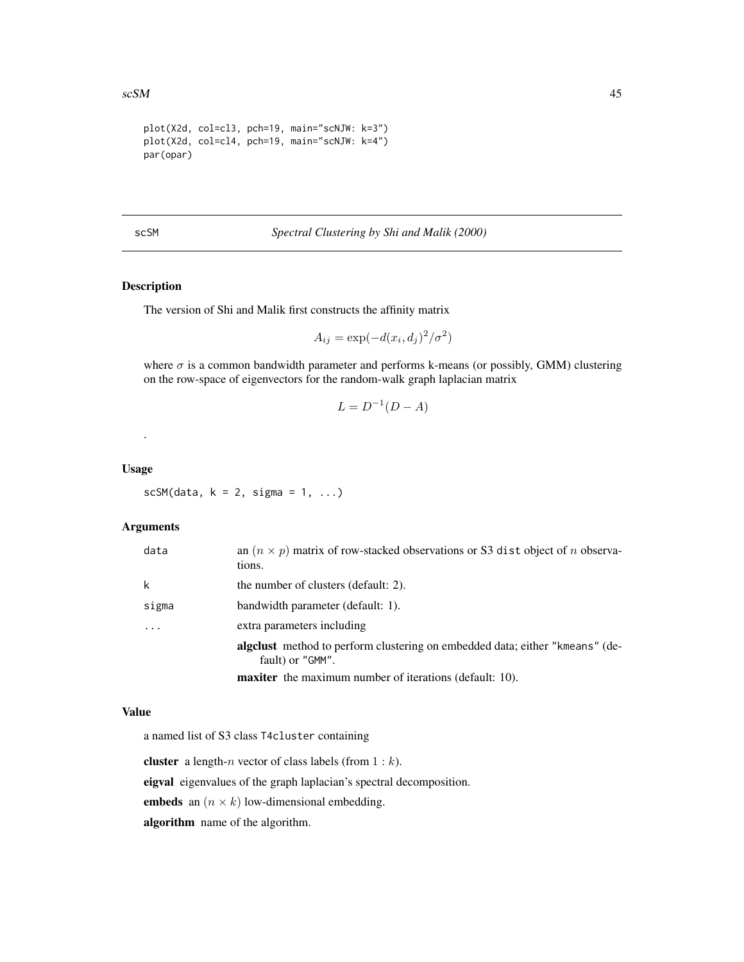```
plot(X2d, col=cl3, pch=19, main="scNJW: k=3")
plot(X2d, col=cl4, pch=19, main="scNJW: k=4")
par(opar)
```
scSM *Spectral Clustering by Shi and Malik (2000)*

# Description

The version of Shi and Malik first constructs the affinity matrix

$$
A_{ij} = \exp(-d(x_i, d_j)^2 / \sigma^2)
$$

where  $\sigma$  is a common bandwidth parameter and performs k-means (or possibly, GMM) clustering on the row-space of eigenvectors for the random-walk graph laplacian matrix

$$
L = D^{-1}(D - A)
$$

Usage

.

 $scSM(data, k = 2, sigma = 1, ...)$ 

# Arguments

| data  | an $(n \times p)$ matrix of row-stacked observations or S3 dist object of <i>n</i> observa-<br>tions.          |
|-------|----------------------------------------------------------------------------------------------------------------|
| k     | the number of clusters (default: 2).                                                                           |
| sigma | bandwidth parameter (default: 1).                                                                              |
| .     | extra parameters including                                                                                     |
|       | algeblacktriangleright method to perform clustering on embedded data; either "kmeans" (de-<br>fault) or "GMM". |
|       | <b>maxiter</b> the maximum number of iterations (default: 10).                                                 |

#### Value

a named list of S3 class T4cluster containing

cluster a length-n vector of class labels (from  $1 : k$ ).

eigval eigenvalues of the graph laplacian's spectral decomposition.

embeds an  $(n \times k)$  low-dimensional embedding.

algorithm name of the algorithm.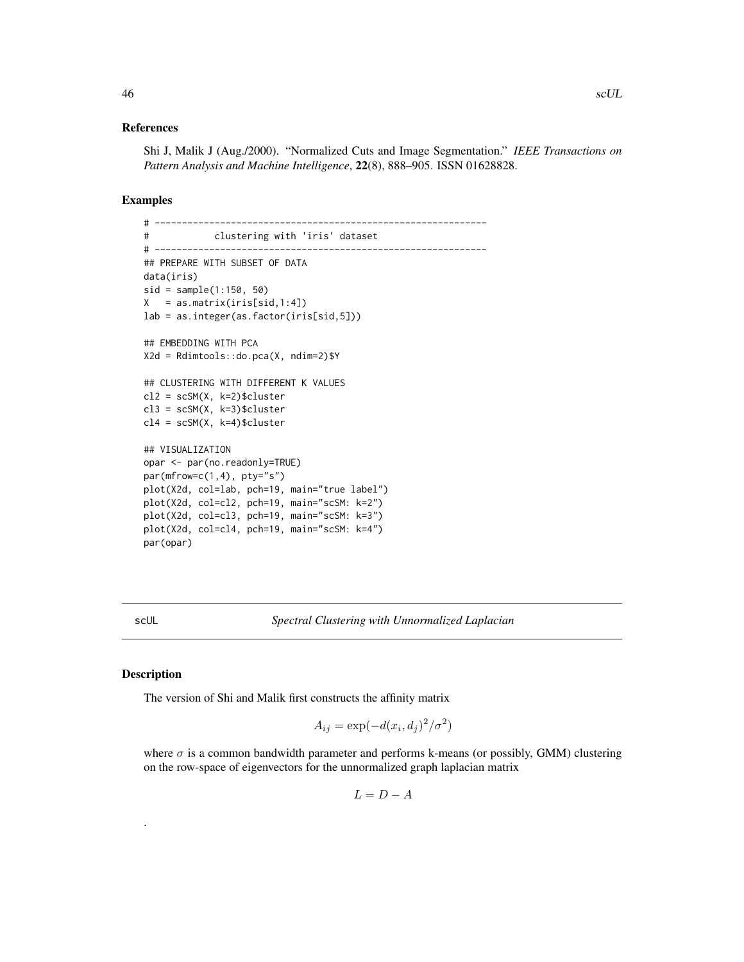#### <span id="page-45-0"></span>References

Shi J, Malik J (Aug./2000). "Normalized Cuts and Image Segmentation." *IEEE Transactions on Pattern Analysis and Machine Intelligence*, 22(8), 888–905. ISSN 01628828.

# Examples

```
# -------------------------------------------------------------
# clustering with 'iris' dataset
# -------------------------------------------------------------
## PREPARE WITH SUBSET OF DATA
data(iris)
sid = sample(1:150, 50)
X = as_matrix(iris[sid,1:4])lab = as.integer(as.factor(iris[sid,5]))
## EMBEDDING WITH PCA
X2d = Rdimtools::do.pca(X, ndim=2)$Y
## CLUSTERING WITH DIFFERENT K VALUES
cl2 = scSM(X, k=2)$cluster
cl3 = scSM(X, k=3)$cluster
cl4 = scSM(X, k=4)$cluster
## VISUALIZATION
opar <- par(no.readonly=TRUE)
par(mfrow=c(1,4), pty="s")plot(X2d, col=lab, pch=19, main="true label")
plot(X2d, col=cl2, pch=19, main="scSM: k=2")
plot(X2d, col=cl3, pch=19, main="scSM: k=3")
plot(X2d, col=cl4, pch=19, main="scSM: k=4")
par(opar)
```
scUL *Spectral Clustering with Unnormalized Laplacian*

#### Description

.

The version of Shi and Malik first constructs the affinity matrix

$$
A_{ij} = \exp(-d(x_i, d_j)^2 / \sigma^2)
$$

where  $\sigma$  is a common bandwidth parameter and performs k-means (or possibly, GMM) clustering on the row-space of eigenvectors for the unnormalized graph laplacian matrix

$$
L = D - A
$$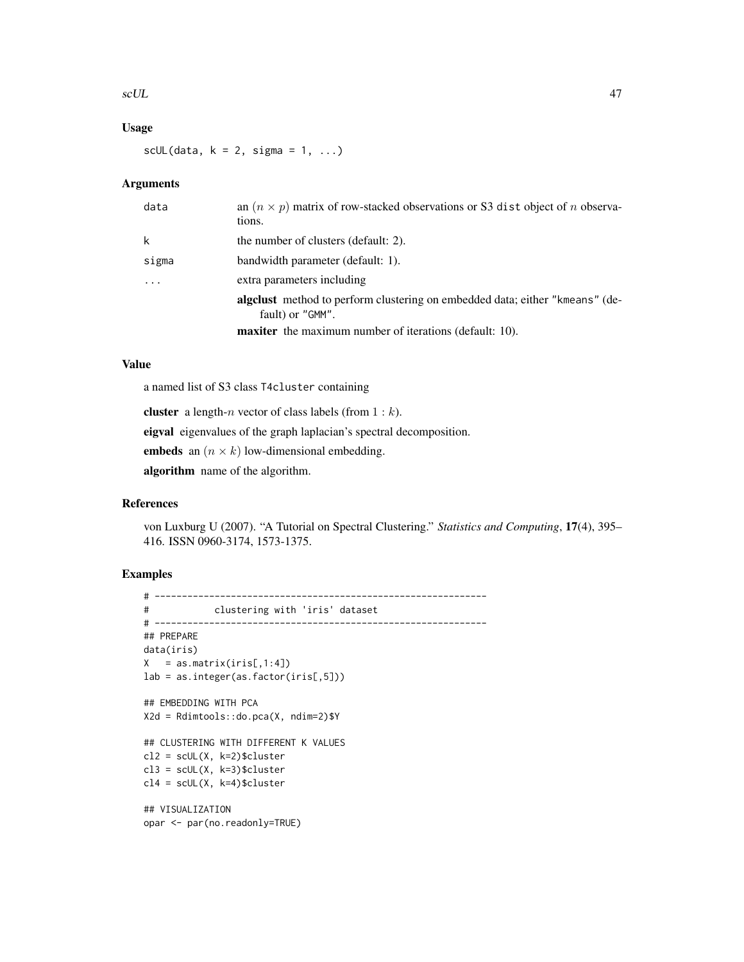#### scUL and the second second second second second second second second second second second second second second second second second second second second second second second second second second second second second second

# Usage

scUL(data,  $k = 2$ , sigma = 1, ...)

# Arguments

| data     | an $(n \times p)$ matrix of row-stacked observations or S3 dist object of <i>n</i> observa-<br>tions. |
|----------|-------------------------------------------------------------------------------------------------------|
| k        | the number of clusters (default: 2).                                                                  |
| sigma    | bandwidth parameter (default: 1).                                                                     |
| $\ddots$ | extra parameters including                                                                            |
|          | algeblack method to perform clustering on embedded data; either "kmeans" (de-<br>fault) or "GMM".     |
|          | <b>maxiter</b> the maximum number of iterations (default: 10).                                        |

# Value

a named list of S3 class T4cluster containing

cluster a length-n vector of class labels (from  $1 : k$ ). eigval eigenvalues of the graph laplacian's spectral decomposition. embeds an  $(n \times k)$  low-dimensional embedding.

algorithm name of the algorithm.

#### References

von Luxburg U (2007). "A Tutorial on Spectral Clustering." *Statistics and Computing*, 17(4), 395– 416. ISSN 0960-3174, 1573-1375.

```
# -------------------------------------------------------------
# clustering with 'iris' dataset
# -------------------------------------------------------------
## PREPARE
data(iris)
X = as_matrix(iris[,1:4])lab = as.integer(as.factor(iris[,5]))
## EMBEDDING WITH PCA
X2d = Rdimtools::do.pca(X, ndim=2)$Y
## CLUSTERING WITH DIFFERENT K VALUES
cl2 = scUL(X, k=2)$cluster
cl3 = scUL(X, k=3)$cluster
cl4 = scUL(X, k=4)$cluster
## VISUALIZATION
opar <- par(no.readonly=TRUE)
```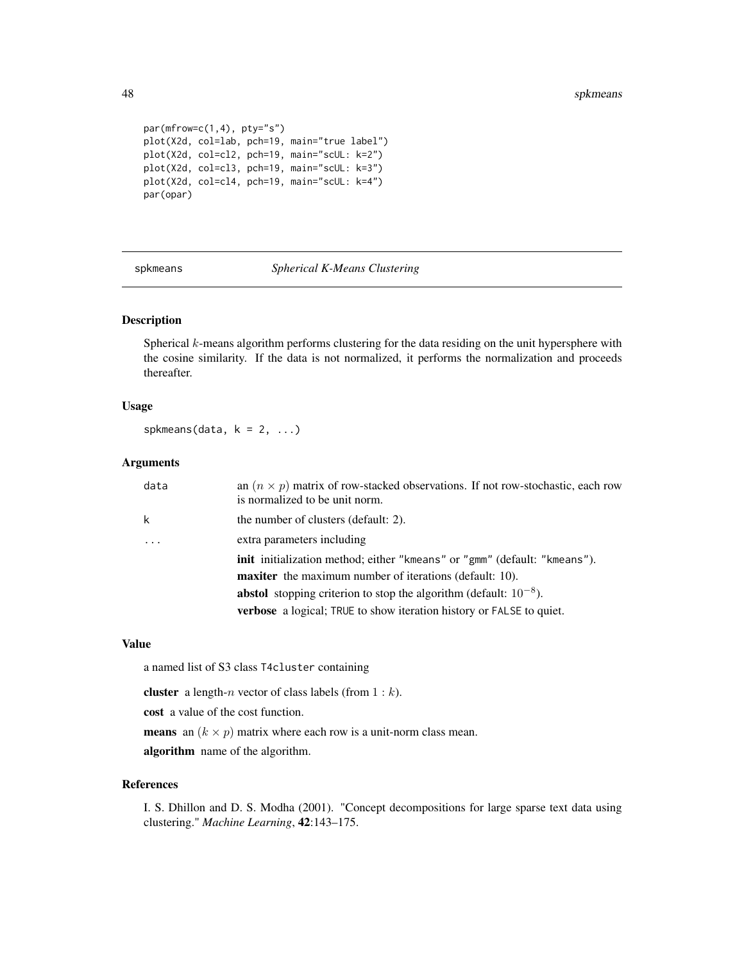```
par(mfrow=c(1,4), pty="s")plot(X2d, col=lab, pch=19, main="true label")
plot(X2d, col=cl2, pch=19, main="scUL: k=2")
plot(X2d, col=cl3, pch=19, main="scUL: k=3")
plot(X2d, col=cl4, pch=19, main="scUL: k=4")
par(opar)
```
spkmeans *Spherical K-Means Clustering*

## Description

Spherical k-means algorithm performs clustering for the data residing on the unit hypersphere with the cosine similarity. If the data is not normalized, it performs the normalization and proceeds thereafter.

#### Usage

spkmeans(data,  $k = 2, ...$ )

# Arguments

| data | an $(n \times p)$ matrix of row-stacked observations. If not row-stochastic, each row<br>is normalized to be unit norm. |  |
|------|-------------------------------------------------------------------------------------------------------------------------|--|
| k    | the number of clusters (default: 2).                                                                                    |  |
| .    | extra parameters including                                                                                              |  |
|      | <b>init</b> initialization method; either "kmeans" or "gmm" (default: "kmeans").                                        |  |
|      | <b>maxiter</b> the maximum number of iterations (default: 10).                                                          |  |
|      | <b>abstol</b> stopping criterion to stop the algorithm (default: $10^{-8}$ ).                                           |  |
|      | <b>verbose</b> a logical; TRUE to show iteration history or FALSE to quiet.                                             |  |

#### Value

a named list of S3 class T4cluster containing

**cluster** a length-*n* vector of class labels (from  $1 : k$ ).

cost a value of the cost function.

**means** an  $(k \times p)$  matrix where each row is a unit-norm class mean.

algorithm name of the algorithm.

#### References

I. S. Dhillon and D. S. Modha (2001). "Concept decompositions for large sparse text data using clustering." *Machine Learning*, 42:143–175.

<span id="page-47-0"></span>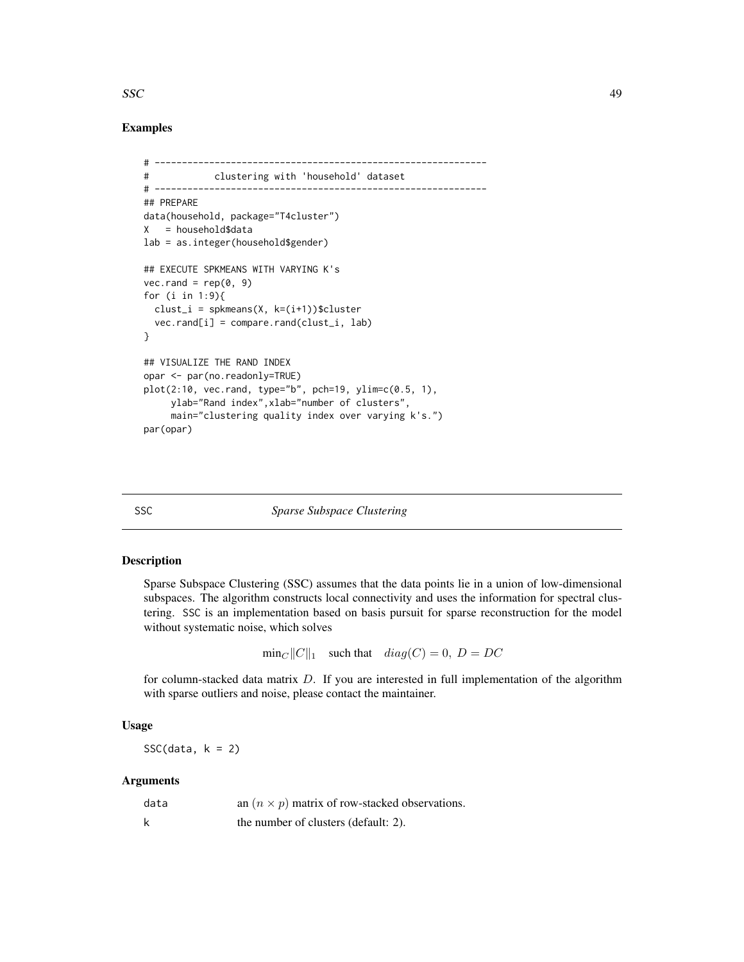#### <span id="page-48-0"></span> $SSC$  49

# Examples

```
# -------------------------------------------------------------
# clustering with 'household' dataset
# -------------------------------------------------------------
## PREPARE
data(household, package="T4cluster")
X = household$data
lab = as.integer(household$gender)
## EXECUTE SPKMEANS WITH VARYING K's
vec.random = rep(0, 9)for (i in 1:9){
  clust_i = spkmeans(X, k=(i+1))$cluster
  vec.rand[i] = compare.rand(clust_i, lab)
}
## VISUALIZE THE RAND INDEX
opar <- par(no.readonly=TRUE)
plot(2:10, vec.rand, type="b", pch=19, ylim=c(0.5, 1),
     ylab="Rand index",xlab="number of clusters",
     main="clustering quality index over varying k's.")
par(opar)
```
#### SSC *Sparse Subspace Clustering*

# Description

Sparse Subspace Clustering (SSC) assumes that the data points lie in a union of low-dimensional subspaces. The algorithm constructs local connectivity and uses the information for spectral clustering. SSC is an implementation based on basis pursuit for sparse reconstruction for the model without systematic noise, which solves

 $\min_C ||C||_1$  such that  $diag(C) = 0$ ,  $D = DC$ 

for column-stacked data matrix  $D$ . If you are interested in full implementation of the algorithm with sparse outliers and noise, please contact the maintainer.

## Usage

 $SSC(data, k = 2)$ 

#### Arguments

| data | an $(n \times p)$ matrix of row-stacked observations. |
|------|-------------------------------------------------------|
|      | the number of clusters (default: 2).                  |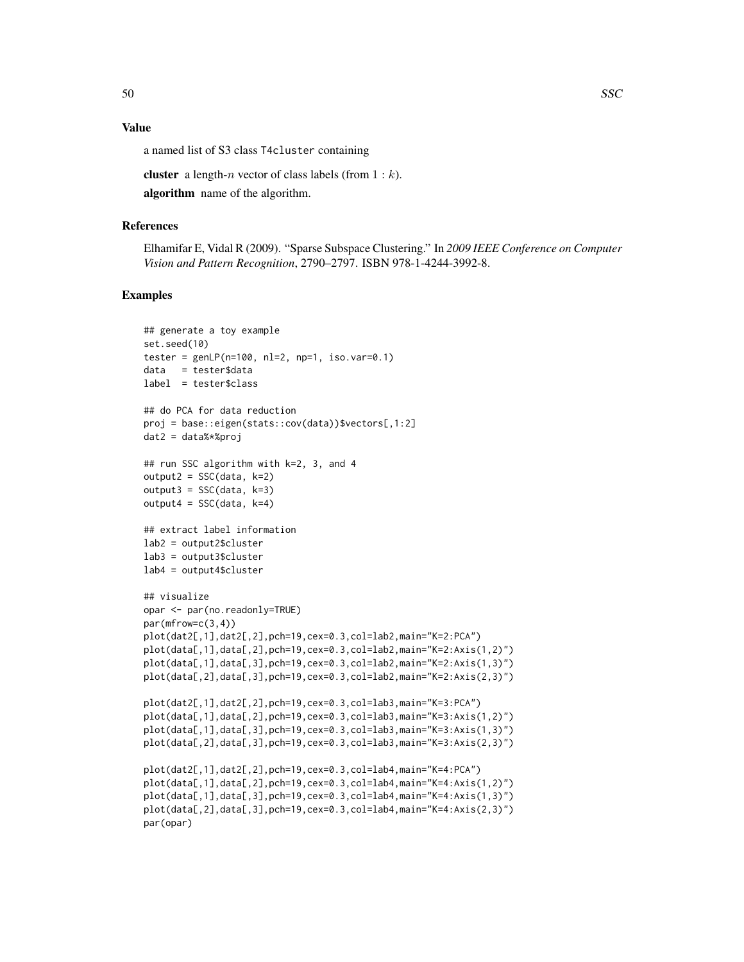# Value

a named list of S3 class T4cluster containing

**cluster** a length-*n* vector of class labels (from  $1 : k$ ).

algorithm name of the algorithm.

#### References

Elhamifar E, Vidal R (2009). "Sparse Subspace Clustering." In *2009 IEEE Conference on Computer Vision and Pattern Recognition*, 2790–2797. ISBN 978-1-4244-3992-8.

```
## generate a toy example
set.seed(10)
tester = genLP(n=100, nl=2, np=1, iso.var=0.1)
data = tester$data
label = tester$class
## do PCA for data reduction
proj = base::eigen(stats::cov(data))$vectors[,1:2]
dat2 = data%*%proj
## run SSC algorithm with k=2, 3, and 4
output2 = SSC(data, k=2)output3 = SSC(data, k=3)output4 = SSC(data, k=4)## extract label information
lab2 = output2$cluster
lab3 = output3$cluster
lab4 = output4$cluster
## visualize
opar <- par(no.readonly=TRUE)
par(mfrow=c(3,4))
plot(dat2[,1],dat2[,2],pch=19,cex=0.3,col=lab2,main="K=2:PCA")
plot(data[,1],data[,2],pch=19,cex=0.3,col=lab2,main="K=2:Axis(1,2)")
plot(data[,1],data[,3],pch=19,cex=0.3,col=lab2,main="K=2:Axis(1,3)")
plot(data[,2],data[,3],pch=19,cex=0.3,col=lab2,main="K=2:Axis(2,3)")
plot(dat2[,1],dat2[,2],pch=19,cex=0.3,col=lab3,main="K=3:PCA")
plot(data[,1],data[,2],pch=19,cex=0.3,col=lab3,main="K=3:Axis(1,2)")
plot(data[,1],data[,3],pch=19,cex=0.3,col=lab3,main="K=3:Axis(1,3)")
plot(data[,2],data[,3],pch=19,cex=0.3,col=lab3,main="K=3:Axis(2,3)")
plot(dat2[,1],dat2[,2],pch=19,cex=0.3,col=lab4,main="K=4:PCA")
plot(data[,1],data[,2],pch=19,cex=0.3,col=lab4,main="K=4:Axis(1,2)")
plot(data[,1],data[,3],pch=19,cex=0.3,col=lab4,main="K=4:Axis(1,3)")
plot(data[,2],data[,3],pch=19,cex=0.3,col=lab4,main="K=4:Axis(2,3)")
par(opar)
```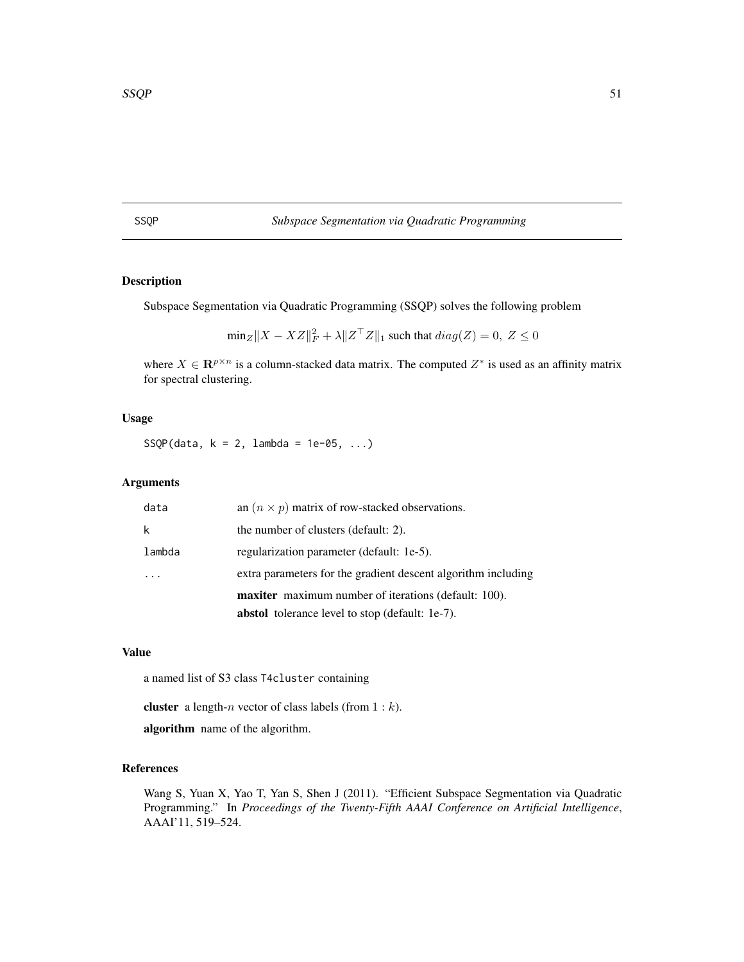# <span id="page-50-0"></span>SSQP *Subspace Segmentation via Quadratic Programming*

# Description

Subspace Segmentation via Quadratic Programming (SSQP) solves the following problem

 $\min_Z ||X - XZ||_F^2 + \lambda ||Z^\top Z||_1$  such that  $diag(Z) = 0, Z \le 0$ 

where  $X \in \mathbb{R}^{p \times n}$  is a column-stacked data matrix. The computed  $Z^*$  is used as an affinity matrix for spectral clustering.

#### Usage

SSQP(data,  $k = 2$ , lambda = 1e-05, ...)

# Arguments

| data   | an $(n \times p)$ matrix of row-stacked observations.         |
|--------|---------------------------------------------------------------|
| k      | the number of clusters (default: 2).                          |
| lambda | regularization parameter (default: 1e-5).                     |
|        | extra parameters for the gradient descent algorithm including |
|        | <b>maxiter</b> maximum number of iterations (default: 100).   |
|        | <b>abstol</b> tolerance level to stop (default: 1e-7).        |

# Value

a named list of S3 class T4cluster containing

**cluster** a length-*n* vector of class labels (from  $1 : k$ ).

algorithm name of the algorithm.

# References

Wang S, Yuan X, Yao T, Yan S, Shen J (2011). "Efficient Subspace Segmentation via Quadratic Programming." In *Proceedings of the Twenty-Fifth AAAI Conference on Artificial Intelligence*, AAAI'11, 519–524.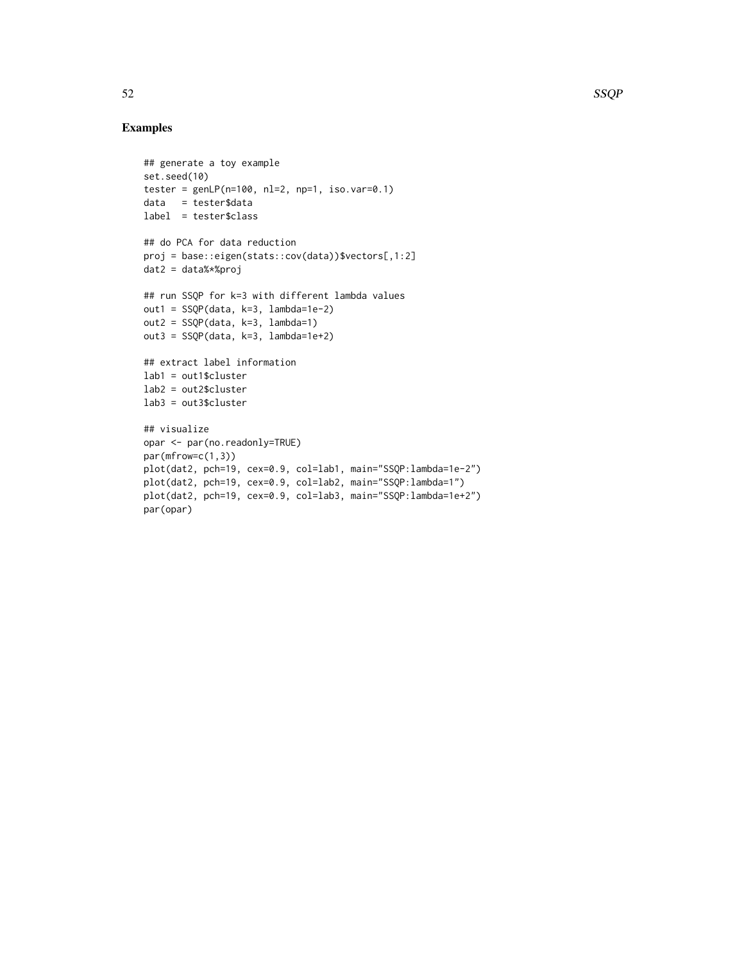```
## generate a toy example
set.seed(10)
tester = genLP(n=100, nl=2, np=1, iso.var=0.1)data = tester$data
label = tester$class
## do PCA for data reduction
proj = base::eigen(stats::cov(data))$vectors[,1:2]
dat2 = data%*%proj
## run SSQP for k=3 with different lambda values
out1 = SSQP(data, k=3, lambda=1e-2)
out2 = SSQP(data, k=3, lambda=1)
out3 = SSQP(data, k=3, lambda=1e+2)
## extract label information
lab1 = out1$cluster
lab2 = out2$cluster
lab3 = out3$cluster
## visualize
opar <- par(no.readonly=TRUE)
par(mfrow=c(1,3))
plot(dat2, pch=19, cex=0.9, col=lab1, main="SSQP:lambda=1e-2")
plot(dat2, pch=19, cex=0.9, col=lab2, main="SSQP:lambda=1")
plot(dat2, pch=19, cex=0.9, col=lab3, main="SSQP:lambda=1e+2")
par(opar)
```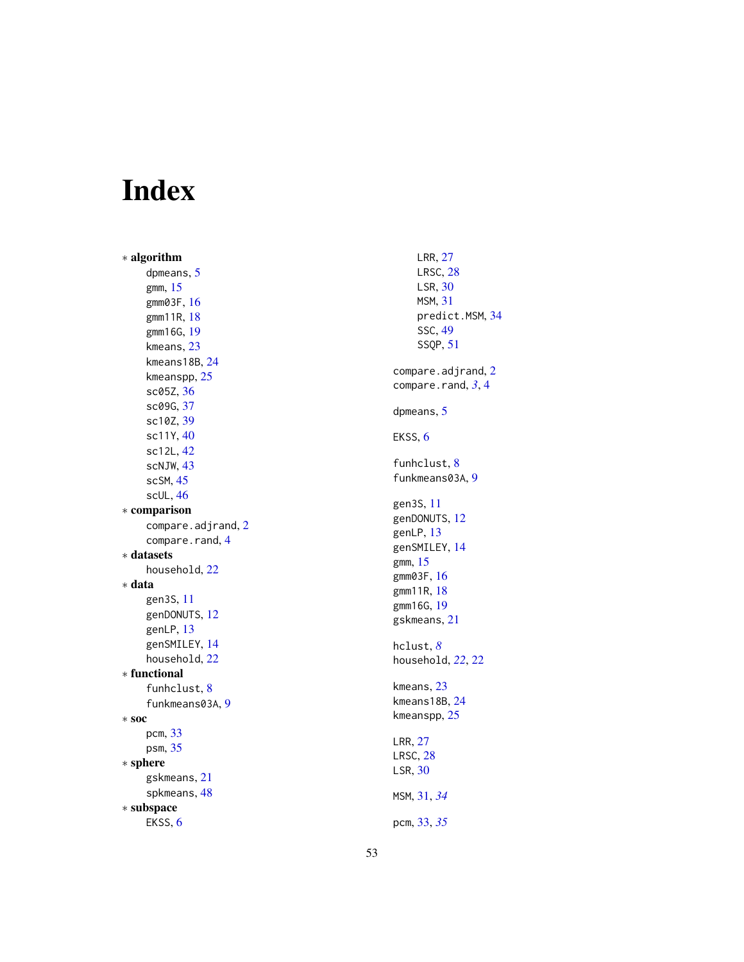# <span id="page-52-0"></span>Index

∗ algorithm dpmeans , [5](#page-4-0) gmm , [15](#page-14-0) gmm03F , [16](#page-15-0) gmm11R , [18](#page-17-0) gmm16G , [19](#page-18-0) kmeans , [23](#page-22-0) kmeans18B , [24](#page-23-0) kmeanspp , [25](#page-24-0) sc05Z , [36](#page-35-0) sc09G , [37](#page-36-0) sc10Z , [39](#page-38-0) sc11Y , [40](#page-39-0) sc12L , [42](#page-41-0) scNJW, [43](#page-42-0) scSM , [45](#page-44-0) scUL , [46](#page-45-0) ∗ comparison compare.adjrand, [2](#page-1-0) compare.rand, [4](#page-3-0) ∗ datasets household , [22](#page-21-0) ∗ data gen3S , [11](#page-10-0) genDONUTS , [12](#page-11-0) genLP, [13](#page-12-0) genSMILEY , [14](#page-13-0) household , [22](#page-21-0) ∗ functional funhclust, [8](#page-7-0) funkmeans03A, [9](#page-8-0) ∗ soc pcm , [33](#page-32-0) psm , [35](#page-34-0) ∗ sphere gskmeans , [21](#page-20-0) spkmeans , [48](#page-47-0) ∗ subspace EKSS, [6](#page-5-0)

LRR , [27](#page-26-0) LRSC , [28](#page-27-0) LSR,  $30$ MSM , [31](#page-30-0) predict.MSM , [34](#page-33-0) SSC , [49](#page-48-0) SSQP , [51](#page-50-0) compare.adjrand, [2](#page-1-0) compare.rand, [3](#page-2-0), [4](#page-3-0) dpmeans , [5](#page-4-0) EKSS, [6](#page-5-0) funhclust, [8](#page-7-0) funkmeans03A, [9](#page-8-0) gen3S , [11](#page-10-0) genDONUTS, [12](#page-11-0) genLP, [13](#page-12-0) genSMILEY , [14](#page-13-0) gmm , [15](#page-14-0) gmm03F , [16](#page-15-0) gmm11R , [18](#page-17-0) gmm16G , [19](#page-18-0) gskmeans , [21](#page-20-0) hclust , *[8](#page-7-0)* household , *[22](#page-21-0)* , [22](#page-21-0) kmeans , [23](#page-22-0) kmeans18B , [24](#page-23-0) kmeanspp , [25](#page-24-0) LRR , [27](#page-26-0) LRSC , [28](#page-27-0) LSR,  $30$ MSM , [31](#page-30-0) , *[34](#page-33-0)* pcm , [33](#page-32-0) , *[35](#page-34-0)*